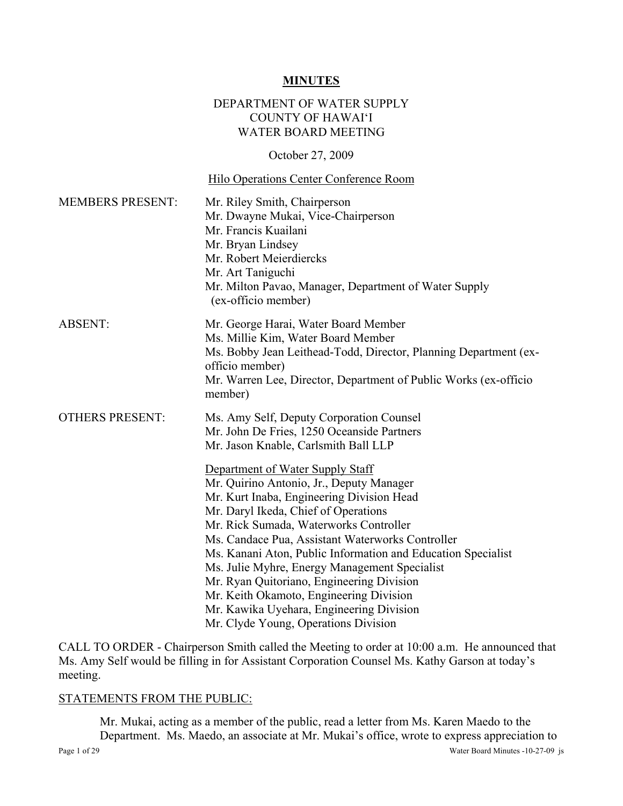### **MINUTES**

#### DEPARTMENT OF WATER SUPPLY COUNTY OF HAWAI'I WATER BOARD MEETING

October 27, 2009

#### Hilo Operations Center Conference Room

| <b>MEMBERS PRESENT:</b> | Mr. Riley Smith, Chairperson<br>Mr. Dwayne Mukai, Vice-Chairperson<br>Mr. Francis Kuailani<br>Mr. Bryan Lindsey<br>Mr. Robert Meierdiercks<br>Mr. Art Taniguchi<br>Mr. Milton Pavao, Manager, Department of Water Supply<br>(ex-officio member)                                                                                                                                                                                                                                                                                                                                                                                                                                                |
|-------------------------|------------------------------------------------------------------------------------------------------------------------------------------------------------------------------------------------------------------------------------------------------------------------------------------------------------------------------------------------------------------------------------------------------------------------------------------------------------------------------------------------------------------------------------------------------------------------------------------------------------------------------------------------------------------------------------------------|
| <b>ABSENT:</b>          | Mr. George Harai, Water Board Member<br>Ms. Millie Kim, Water Board Member<br>Ms. Bobby Jean Leithead-Todd, Director, Planning Department (ex-<br>officio member)<br>Mr. Warren Lee, Director, Department of Public Works (ex-officio<br>member)                                                                                                                                                                                                                                                                                                                                                                                                                                               |
| <b>OTHERS PRESENT:</b>  | Ms. Amy Self, Deputy Corporation Counsel<br>Mr. John De Fries, 1250 Oceanside Partners<br>Mr. Jason Knable, Carlsmith Ball LLP<br>Department of Water Supply Staff<br>Mr. Quirino Antonio, Jr., Deputy Manager<br>Mr. Kurt Inaba, Engineering Division Head<br>Mr. Daryl Ikeda, Chief of Operations<br>Mr. Rick Sumada, Waterworks Controller<br>Ms. Candace Pua, Assistant Waterworks Controller<br>Ms. Kanani Aton, Public Information and Education Specialist<br>Ms. Julie Myhre, Energy Management Specialist<br>Mr. Ryan Quitoriano, Engineering Division<br>Mr. Keith Okamoto, Engineering Division<br>Mr. Kawika Uyehara, Engineering Division<br>Mr. Clyde Young, Operations Division |

CALL TO ORDER - Chairperson Smith called the Meeting to order at 10:00 a.m. He announced that Ms. Amy Self would be filling in for Assistant Corporation Counsel Ms. Kathy Garson at today's meeting.

#### STATEMENTS FROM THE PUBLIC:

Page 1 of 29 Water Board Minutes -10-27-09 js Mr. Mukai, acting as a member of the public, read a letter from Ms. Karen Maedo to the Department. Ms. Maedo, an associate at Mr. Mukai's office, wrote to express appreciation to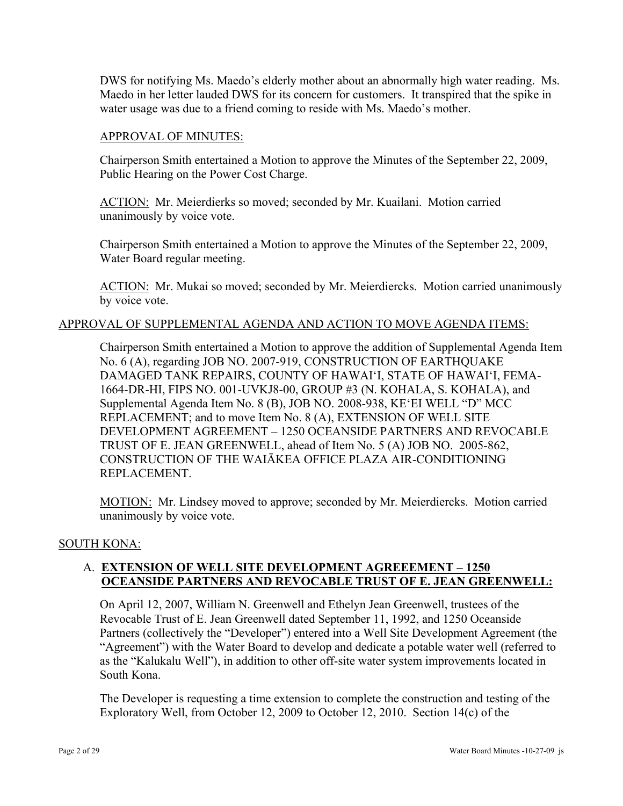DWS for notifying Ms. Maedo's elderly mother about an abnormally high water reading. Ms. Maedo in her letter lauded DWS for its concern for customers. It transpired that the spike in water usage was due to a friend coming to reside with Ms. Maedo's mother.

#### APPROVAL OF MINUTES:

Chairperson Smith entertained a Motion to approve the Minutes of the September 22, 2009, Public Hearing on the Power Cost Charge.

ACTION: Mr. Meierdierks so moved; seconded by Mr. Kuailani. Motion carried unanimously by voice vote.

Chairperson Smith entertained a Motion to approve the Minutes of the September 22, 2009, Water Board regular meeting.

ACTION: Mr. Mukai so moved; seconded by Mr. Meierdiercks. Motion carried unanimously by voice vote.

### APPROVAL OF SUPPLEMENTAL AGENDA AND ACTION TO MOVE AGENDA ITEMS:

Chairperson Smith entertained a Motion to approve the addition of Supplemental Agenda Item No. 6 (A), regarding JOB NO. 2007-919, CONSTRUCTION OF EARTHQUAKE DAMAGED TANK REPAIRS, COUNTY OF HAWAI'I, STATE OF HAWAI'I, FEMA-1664-DR-HI, FIPS NO. 001-UVKJ8-00, GROUP #3 (N. KOHALA, S. KOHALA), and Supplemental Agenda Item No. 8 (B), JOB NO. 2008-938, KE'EI WELL "D" MCC REPLACEMENT; and to move Item No. 8 (A), EXTENSION OF WELL SITE DEVELOPMENT AGREEMENT – 1250 OCEANSIDE PARTNERS AND REVOCABLE TRUST OF E. JEAN GREENWELL, ahead of Item No. 5 (A) JOB NO. 2005-862, CONSTRUCTION OF THE WAIĀKEA OFFICE PLAZA AIR-CONDITIONING REPLACEMENT.

MOTION: Mr. Lindsey moved to approve; seconded by Mr. Meierdiercks. Motion carried unanimously by voice vote.

#### SOUTH KONA:

# A. **EXTENSION OF WELL SITE DEVELOPMENT AGREEEMENT – 1250 OCEANSIDE PARTNERS AND REVOCABLE TRUST OF E. JEAN GREENWELL:**

On April 12, 2007, William N. Greenwell and Ethelyn Jean Greenwell, trustees of the Revocable Trust of E. Jean Greenwell dated September 11, 1992, and 1250 Oceanside Partners (collectively the "Developer") entered into a Well Site Development Agreement (the "Agreement") with the Water Board to develop and dedicate a potable water well (referred to as the "Kalukalu Well"), in addition to other off-site water system improvements located in South Kona.

The Developer is requesting a time extension to complete the construction and testing of the Exploratory Well, from October 12, 2009 to October 12, 2010. Section 14(c) of the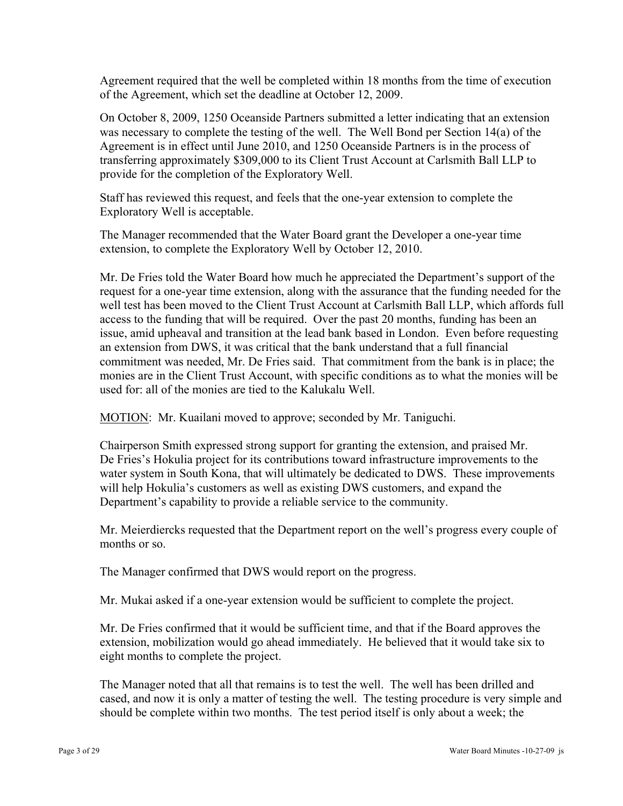Agreement required that the well be completed within 18 months from the time of execution of the Agreement, which set the deadline at October 12, 2009.

On October 8, 2009, 1250 Oceanside Partners submitted a letter indicating that an extension was necessary to complete the testing of the well. The Well Bond per Section 14(a) of the Agreement is in effect until June 2010, and 1250 Oceanside Partners is in the process of transferring approximately \$309,000 to its Client Trust Account at Carlsmith Ball LLP to provide for the completion of the Exploratory Well.

Staff has reviewed this request, and feels that the one-year extension to complete the Exploratory Well is acceptable.

The Manager recommended that the Water Board grant the Developer a one-year time extension, to complete the Exploratory Well by October 12, 2010.

Mr. De Fries told the Water Board how much he appreciated the Department's support of the request for a one-year time extension, along with the assurance that the funding needed for the well test has been moved to the Client Trust Account at Carlsmith Ball LLP, which affords full access to the funding that will be required. Over the past 20 months, funding has been an issue, amid upheaval and transition at the lead bank based in London. Even before requesting an extension from DWS, it was critical that the bank understand that a full financial commitment was needed, Mr. De Fries said. That commitment from the bank is in place; the monies are in the Client Trust Account, with specific conditions as to what the monies will be used for: all of the monies are tied to the Kalukalu Well.

MOTION: Mr. Kuailani moved to approve; seconded by Mr. Taniguchi.

Chairperson Smith expressed strong support for granting the extension, and praised Mr. De Fries's Hokulia project for its contributions toward infrastructure improvements to the water system in South Kona, that will ultimately be dedicated to DWS. These improvements will help Hokulia's customers as well as existing DWS customers, and expand the Department's capability to provide a reliable service to the community.

Mr. Meierdiercks requested that the Department report on the well's progress every couple of months or so.

The Manager confirmed that DWS would report on the progress.

Mr. Mukai asked if a one-year extension would be sufficient to complete the project.

Mr. De Fries confirmed that it would be sufficient time, and that if the Board approves the extension, mobilization would go ahead immediately. He believed that it would take six to eight months to complete the project.

The Manager noted that all that remains is to test the well. The well has been drilled and cased, and now it is only a matter of testing the well. The testing procedure is very simple and should be complete within two months. The test period itself is only about a week; the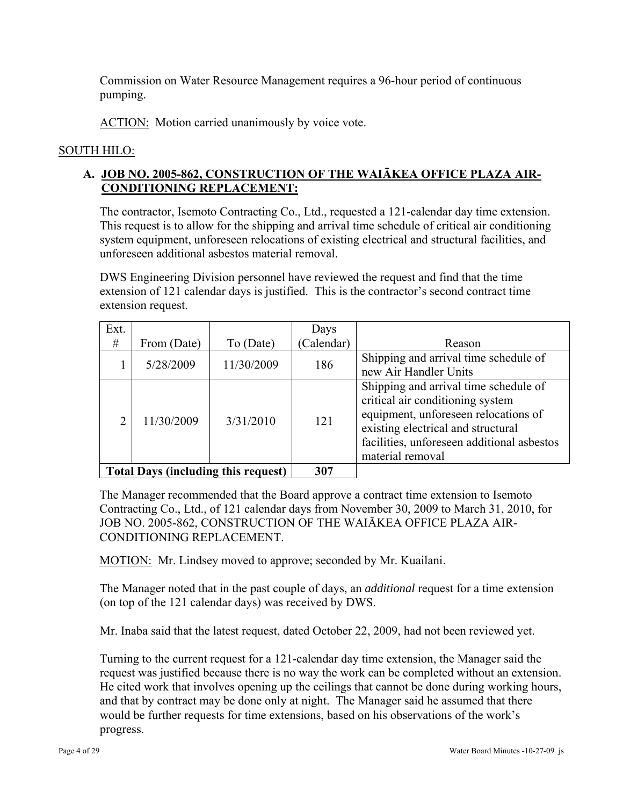Commission on Water Resource Management requires a 96-hour period of continuous pumping.

ACTION: Motion carried unanimously by voice vote.

### SOUTH HILO:

# **A. JOB NO. 2005-862, CONSTRUCTION OF THE WAIĀKEA OFFICE PLAZA AIR-CONDITIONING REPLACEMENT:**

The contractor, Isemoto Contracting Co., Ltd., requested a 121-calendar day time extension. This request is to allow for the shipping and arrival time schedule of critical air conditioning system equipment, unforeseen relocations of existing electrical and structural facilities, and unforeseen additional asbestos material removal.

DWS Engineering Division personnel have reviewed the request and find that the time extension of 121 calendar days is justified. This is the contractor's second contract time extension request.

| Ext. |             |                                            | Days       |                                                                                                                                                                                                                           |
|------|-------------|--------------------------------------------|------------|---------------------------------------------------------------------------------------------------------------------------------------------------------------------------------------------------------------------------|
| #    | From (Date) | To (Date)                                  | (Calendar) | Reason                                                                                                                                                                                                                    |
|      | 5/28/2009   | 11/30/2009                                 | 186        | Shipping and arrival time schedule of<br>new Air Handler Units                                                                                                                                                            |
|      | 11/30/2009  | 3/31/2010                                  | 121        | Shipping and arrival time schedule of<br>critical air conditioning system<br>equipment, unforeseen relocations of<br>existing electrical and structural<br>facilities, unforeseen additional asbestos<br>material removal |
|      |             | <b>Total Days (including this request)</b> | 307        |                                                                                                                                                                                                                           |

The Manager recommended that the Board approve a contract time extension to Isemoto Contracting Co., Ltd., of 121 calendar days from November 30, 2009 to March 31, 2010, for JOB NO. 2005-862, CONSTRUCTION OF THE WAIĀKEA OFFICE PLAZA AIR-CONDITIONING REPLACEMENT.

MOTION: Mr. Lindsey moved to approve; seconded by Mr. Kuailani.

The Manager noted that in the past couple of days, an *additional* request for a time extension (on top of the 121 calendar days) was received by DWS.

Mr. Inaba said that the latest request, dated October 22, 2009, had not been reviewed yet.

Turning to the current request for a 121-calendar day time extension, the Manager said the request was justified because there is no way the work can be completed without an extension. He cited work that involves opening up the ceilings that cannot be done during working hours, and that by contract may be done only at night. The Manager said he assumed that there would be further requests for time extensions, based on his observations of the work's progress.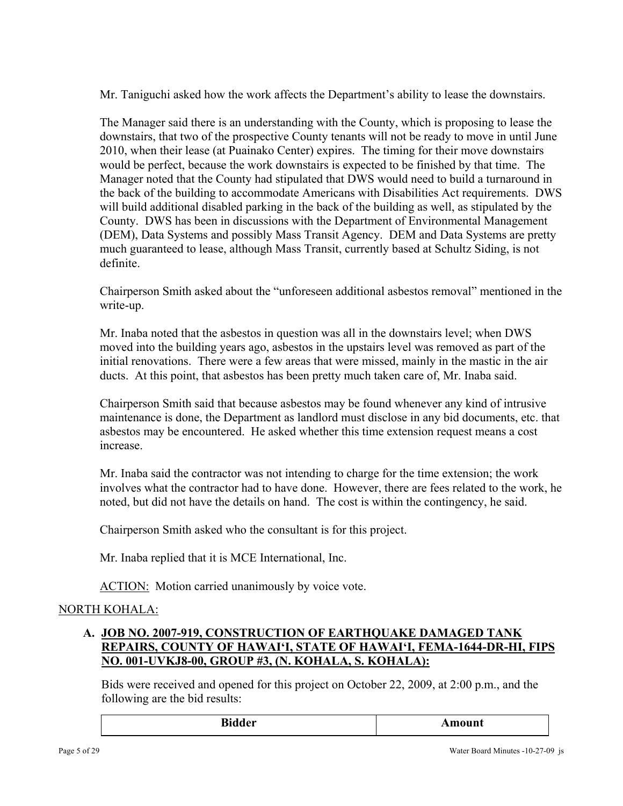Mr. Taniguchi asked how the work affects the Department's ability to lease the downstairs.

The Manager said there is an understanding with the County, which is proposing to lease the downstairs, that two of the prospective County tenants will not be ready to move in until June 2010, when their lease (at Puainako Center) expires. The timing for their move downstairs would be perfect, because the work downstairs is expected to be finished by that time. The Manager noted that the County had stipulated that DWS would need to build a turnaround in the back of the building to accommodate Americans with Disabilities Act requirements. DWS will build additional disabled parking in the back of the building as well, as stipulated by the County. DWS has been in discussions with the Department of Environmental Management (DEM), Data Systems and possibly Mass Transit Agency. DEM and Data Systems are pretty much guaranteed to lease, although Mass Transit, currently based at Schultz Siding, is not definite.

Chairperson Smith asked about the "unforeseen additional asbestos removal" mentioned in the write-up.

Mr. Inaba noted that the asbestos in question was all in the downstairs level; when DWS moved into the building years ago, asbestos in the upstairs level was removed as part of the initial renovations. There were a few areas that were missed, mainly in the mastic in the air ducts. At this point, that asbestos has been pretty much taken care of, Mr. Inaba said.

Chairperson Smith said that because asbestos may be found whenever any kind of intrusive maintenance is done, the Department as landlord must disclose in any bid documents, etc. that asbestos may be encountered. He asked whether this time extension request means a cost increase.

Mr. Inaba said the contractor was not intending to charge for the time extension; the work involves what the contractor had to have done. However, there are fees related to the work, he noted, but did not have the details on hand. The cost is within the contingency, he said.

Chairperson Smith asked who the consultant is for this project.

Mr. Inaba replied that it is MCE International, Inc.

ACTION: Motion carried unanimously by voice vote.

# NORTH KOHALA:

# **A. JOB NO. 2007-919, CONSTRUCTION OF EARTHQUAKE DAMAGED TANK REPAIRS, COUNTY OF HAWAI'I, STATE OF HAWAI'I, FEMA-1644-DR-HI, FIPS NO. 001-UVKJ8-00, GROUP #3, (N. KOHALA, S. KOHALA):**

Bids were received and opened for this project on October 22, 2009, at 2:00 p.m., and the following are the bid results:

| D:     | <b>MAG OFFICIAL</b> |
|--------|---------------------|
| Bıdder | Allioulit           |
|        |                     |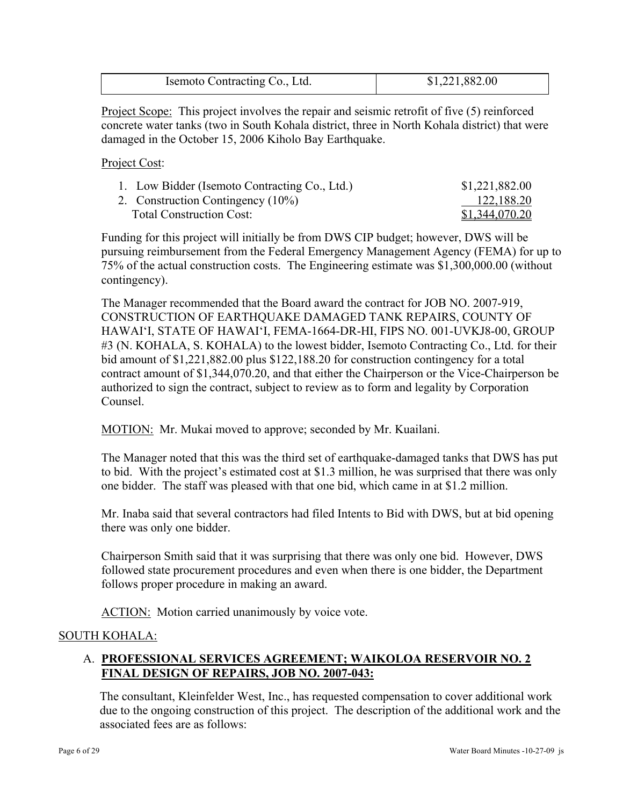| Isemoto Contracting Co., Ltd. | \$1,221,882.00 |
|-------------------------------|----------------|
|                               |                |

Project Scope: This project involves the repair and seismic retrofit of five (5) reinforced concrete water tanks (two in South Kohala district, three in North Kohala district) that were damaged in the October 15, 2006 Kiholo Bay Earthquake.

Project Cost:

| 1. Low Bidder (Isemoto Contracting Co., Ltd.) | \$1,221,882.00 |
|-----------------------------------------------|----------------|
| 2. Construction Contingency (10%)             | 122,188.20     |
| <b>Total Construction Cost:</b>               | \$1,344,070.20 |

Funding for this project will initially be from DWS CIP budget; however, DWS will be pursuing reimbursement from the Federal Emergency Management Agency (FEMA) for up to 75% of the actual construction costs. The Engineering estimate was \$1,300,000.00 (without contingency).

The Manager recommended that the Board award the contract for JOB NO. 2007-919, CONSTRUCTION OF EARTHQUAKE DAMAGED TANK REPAIRS, COUNTY OF HAWAI'I, STATE OF HAWAI'I, FEMA-1664-DR-HI, FIPS NO. 001-UVKJ8-00, GROUP #3 (N. KOHALA, S. KOHALA) to the lowest bidder, Isemoto Contracting Co., Ltd. for their bid amount of \$1,221,882.00 plus \$122,188.20 for construction contingency for a total contract amount of \$1,344,070.20, and that either the Chairperson or the Vice-Chairperson be authorized to sign the contract, subject to review as to form and legality by Corporation Counsel.

MOTION: Mr. Mukai moved to approve; seconded by Mr. Kuailani.

The Manager noted that this was the third set of earthquake-damaged tanks that DWS has put to bid. With the project's estimated cost at \$1.3 million, he was surprised that there was only one bidder. The staff was pleased with that one bid, which came in at \$1.2 million.

Mr. Inaba said that several contractors had filed Intents to Bid with DWS, but at bid opening there was only one bidder.

Chairperson Smith said that it was surprising that there was only one bid. However, DWS followed state procurement procedures and even when there is one bidder, the Department follows proper procedure in making an award.

ACTION: Motion carried unanimously by voice vote.

# SOUTH KOHALA:

# A. **PROFESSIONAL SERVICES AGREEMENT; WAIKOLOA RESERVOIR NO. 2 FINAL DESIGN OF REPAIRS, JOB NO. 2007-043:**

The consultant, Kleinfelder West, Inc., has requested compensation to cover additional work due to the ongoing construction of this project. The description of the additional work and the associated fees are as follows: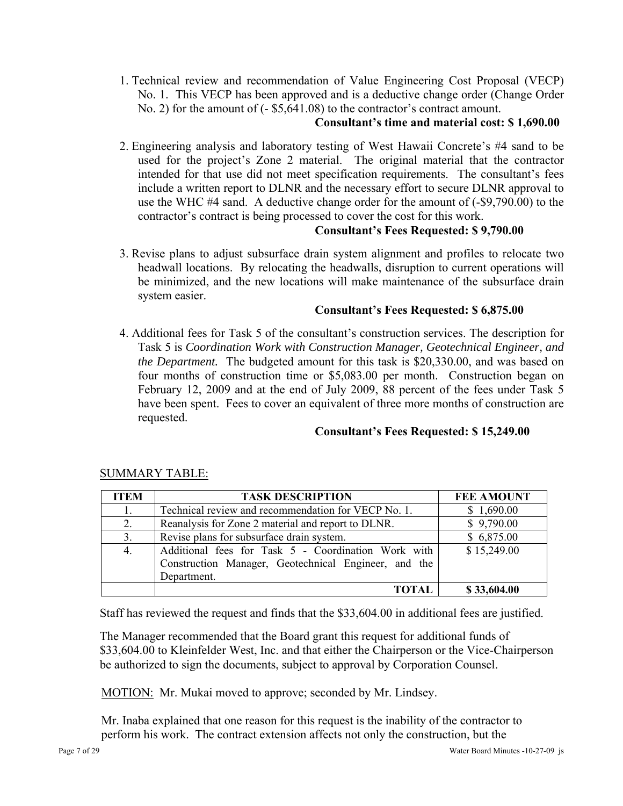1. Technical review and recommendation of Value Engineering Cost Proposal (VECP) No. 1. This VECP has been approved and is a deductive change order (Change Order No. 2) for the amount of (- \$5,641.08) to the contractor's contract amount.

# **Consultant's time and material cost: \$ 1,690.00**

2. Engineering analysis and laboratory testing of West Hawaii Concrete's #4 sand to be used for the project's Zone 2 material. The original material that the contractor intended for that use did not meet specification requirements. The consultant's fees include a written report to DLNR and the necessary effort to secure DLNR approval to use the WHC #4 sand. A deductive change order for the amount of (-\$9,790.00) to the contractor's contract is being processed to cover the cost for this work.

### **Consultant's Fees Requested: \$ 9,790.00**

3. Revise plans to adjust subsurface drain system alignment and profiles to relocate two headwall locations. By relocating the headwalls, disruption to current operations will be minimized, and the new locations will make maintenance of the subsurface drain system easier.

### **Consultant's Fees Requested: \$ 6,875.00**

4. Additional fees for Task 5 of the consultant's construction services. The description for Task 5 is *Coordination Work with Construction Manager, Geotechnical Engineer, and the Department.* The budgeted amount for this task is \$20,330.00, and was based on four months of construction time or \$5,083.00 per month. Construction began on February 12, 2009 and at the end of July 2009, 88 percent of the fees under Task 5 have been spent. Fees to cover an equivalent of three more months of construction are requested.

# **Consultant's Fees Requested: \$ 15,249.00**

| <b>ITEM</b>    | <b>TASK DESCRIPTION</b>                                                                                                    | <b>FEE AMOUNT</b> |
|----------------|----------------------------------------------------------------------------------------------------------------------------|-------------------|
| 1.             | Technical review and recommendation for VECP No. 1.                                                                        | \$1,690.00        |
| 2.             | Reanalysis for Zone 2 material and report to DLNR.                                                                         | \$9,790.00        |
| 3 <sub>1</sub> | Revise plans for subsurface drain system.                                                                                  | \$6,875.00        |
| 4.             | Additional fees for Task 5 - Coordination Work with<br>Construction Manager, Geotechnical Engineer, and the<br>Department. | \$15,249.00       |
|                | TOTAL                                                                                                                      | \$33,604.00       |

# SUMMARY TABLE:

Staff has reviewed the request and finds that the \$33,604.00 in additional fees are justified.

The Manager recommended that the Board grant this request for additional funds of \$33,604.00 to Kleinfelder West, Inc. and that either the Chairperson or the Vice-Chairperson be authorized to sign the documents, subject to approval by Corporation Counsel.

MOTION: Mr. Mukai moved to approve; seconded by Mr. Lindsey.

Mr. Inaba explained that one reason for this request is the inability of the contractor to perform his work. The contract extension affects not only the construction, but the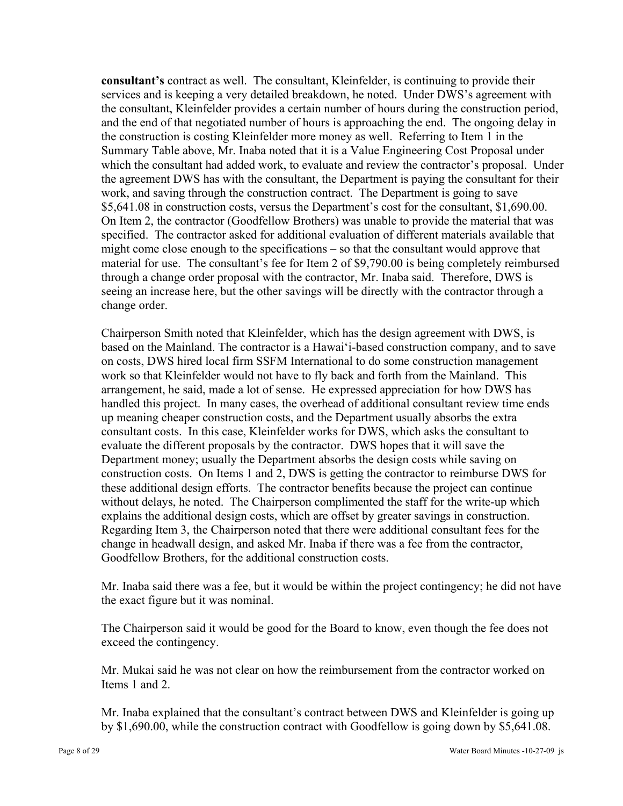**consultant's** contract as well. The consultant, Kleinfelder, is continuing to provide their services and is keeping a very detailed breakdown, he noted. Under DWS's agreement with the consultant, Kleinfelder provides a certain number of hours during the construction period, and the end of that negotiated number of hours is approaching the end. The ongoing delay in the construction is costing Kleinfelder more money as well. Referring to Item 1 in the Summary Table above, Mr. Inaba noted that it is a Value Engineering Cost Proposal under which the consultant had added work, to evaluate and review the contractor's proposal. Under the agreement DWS has with the consultant, the Department is paying the consultant for their work, and saving through the construction contract. The Department is going to save \$5,641.08 in construction costs, versus the Department's cost for the consultant, \$1,690.00. On Item 2, the contractor (Goodfellow Brothers) was unable to provide the material that was specified. The contractor asked for additional evaluation of different materials available that might come close enough to the specifications – so that the consultant would approve that material for use. The consultant's fee for Item 2 of \$9,790.00 is being completely reimbursed through a change order proposal with the contractor, Mr. Inaba said. Therefore, DWS is seeing an increase here, but the other savings will be directly with the contractor through a change order.

Chairperson Smith noted that Kleinfelder, which has the design agreement with DWS, is based on the Mainland. The contractor is a Hawai'i-based construction company, and to save on costs, DWS hired local firm SSFM International to do some construction management work so that Kleinfelder would not have to fly back and forth from the Mainland. This arrangement, he said, made a lot of sense. He expressed appreciation for how DWS has handled this project. In many cases, the overhead of additional consultant review time ends up meaning cheaper construction costs, and the Department usually absorbs the extra consultant costs. In this case, Kleinfelder works for DWS, which asks the consultant to evaluate the different proposals by the contractor. DWS hopes that it will save the Department money; usually the Department absorbs the design costs while saving on construction costs. On Items 1 and 2, DWS is getting the contractor to reimburse DWS for these additional design efforts. The contractor benefits because the project can continue without delays, he noted. The Chairperson complimented the staff for the write-up which explains the additional design costs, which are offset by greater savings in construction. Regarding Item 3, the Chairperson noted that there were additional consultant fees for the change in headwall design, and asked Mr. Inaba if there was a fee from the contractor, Goodfellow Brothers, for the additional construction costs.

Mr. Inaba said there was a fee, but it would be within the project contingency; he did not have the exact figure but it was nominal.

The Chairperson said it would be good for the Board to know, even though the fee does not exceed the contingency.

Mr. Mukai said he was not clear on how the reimbursement from the contractor worked on Items 1 and 2.

Mr. Inaba explained that the consultant's contract between DWS and Kleinfelder is going up by \$1,690.00, while the construction contract with Goodfellow is going down by \$5,641.08.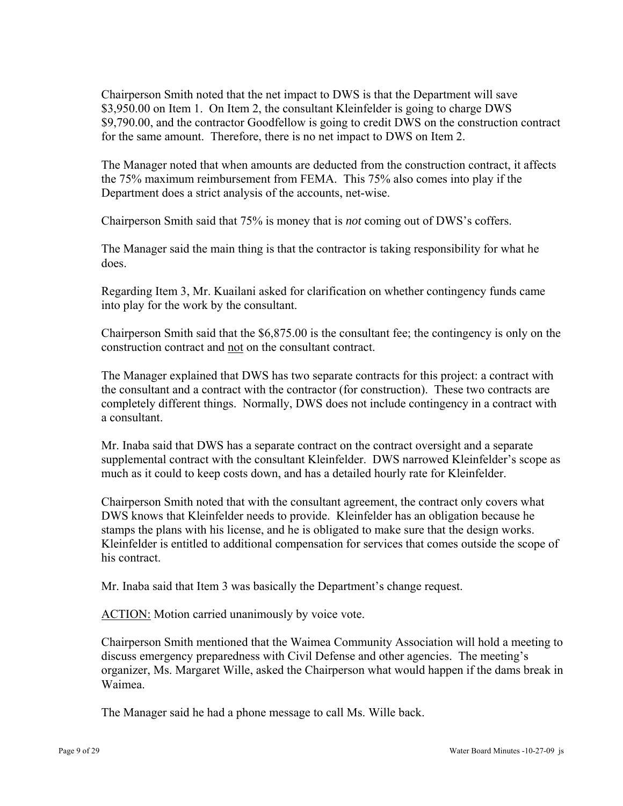Chairperson Smith noted that the net impact to DWS is that the Department will save \$3,950.00 on Item 1. On Item 2, the consultant Kleinfelder is going to charge DWS \$9,790.00, and the contractor Goodfellow is going to credit DWS on the construction contract for the same amount. Therefore, there is no net impact to DWS on Item 2.

The Manager noted that when amounts are deducted from the construction contract, it affects the 75% maximum reimbursement from FEMA. This 75% also comes into play if the Department does a strict analysis of the accounts, net-wise.

Chairperson Smith said that 75% is money that is *not* coming out of DWS's coffers.

The Manager said the main thing is that the contractor is taking responsibility for what he does.

Regarding Item 3, Mr. Kuailani asked for clarification on whether contingency funds came into play for the work by the consultant.

Chairperson Smith said that the \$6,875.00 is the consultant fee; the contingency is only on the construction contract and not on the consultant contract.

The Manager explained that DWS has two separate contracts for this project: a contract with the consultant and a contract with the contractor (for construction). These two contracts are completely different things. Normally, DWS does not include contingency in a contract with a consultant.

Mr. Inaba said that DWS has a separate contract on the contract oversight and a separate supplemental contract with the consultant Kleinfelder. DWS narrowed Kleinfelder's scope as much as it could to keep costs down, and has a detailed hourly rate for Kleinfelder.

Chairperson Smith noted that with the consultant agreement, the contract only covers what DWS knows that Kleinfelder needs to provide. Kleinfelder has an obligation because he stamps the plans with his license, and he is obligated to make sure that the design works. Kleinfelder is entitled to additional compensation for services that comes outside the scope of his contract.

Mr. Inaba said that Item 3 was basically the Department's change request.

ACTION: Motion carried unanimously by voice vote.

Chairperson Smith mentioned that the Waimea Community Association will hold a meeting to discuss emergency preparedness with Civil Defense and other agencies. The meeting's organizer, Ms. Margaret Wille, asked the Chairperson what would happen if the dams break in Waimea.

The Manager said he had a phone message to call Ms. Wille back.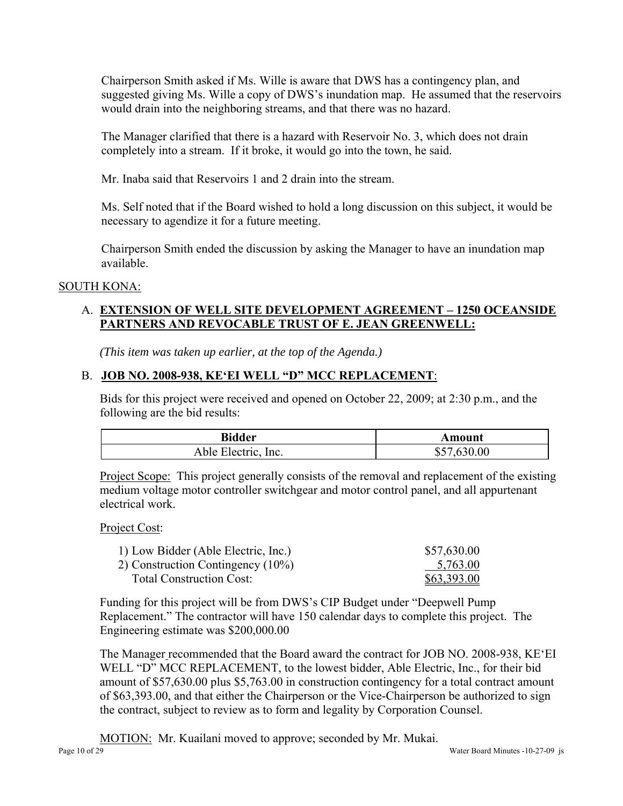Chairperson Smith asked if Ms. Wille is aware that DWS has a contingency plan, and suggested giving Ms. Wille a copy of DWS's inundation map. He assumed that the reservoirs would drain into the neighboring streams, and that there was no hazard.

The Manager clarified that there is a hazard with Reservoir No. 3, which does not drain completely into a stream. If it broke, it would go into the town, he said.

Mr. Inaba said that Reservoirs 1 and 2 drain into the stream.

Ms. Self noted that if the Board wished to hold a long discussion on this subject, it would be necessary to agendize it for a future meeting.

Chairperson Smith ended the discussion by asking the Manager to have an inundation map available.

# SOUTH KONA:

# A. **EXTENSION OF WELL SITE DEVELOPMENT AGREEMENT – 1250 OCEANSIDE PARTNERS AND REVOCABLE TRUST OF E. JEAN GREENWELL:**

*(This item was taken up earlier, at the top of the Agenda.)* 

# B. **JOB NO. 2008-938, KE'EI WELL "D" MCC REPLACEMENT**:

Bids for this project were received and opened on October 22, 2009; at 2:30 p.m., and the following are the bid results:

| <b>Bidder</b>       | Amount          |
|---------------------|-----------------|
| Able Electric, Inc. | .630.00<br>\$57 |

Project Scope: This project generally consists of the removal and replacement of the existing medium voltage motor controller switchgear and motor control panel, and all appurtenant electrical work.

#### Project Cost:

| 1) Low Bidder (Able Electric, Inc.)  | \$57,630.00 |
|--------------------------------------|-------------|
| 2) Construction Contingency $(10\%)$ | 5,763.00    |
| <b>Total Construction Cost:</b>      | \$63,393.00 |

Funding for this project will be from DWS's CIP Budget under "Deepwell Pump Replacement." The contractor will have 150 calendar days to complete this project. The Engineering estimate was \$200,000.00

The Manager recommended that the Board award the contract for JOB NO. 2008-938, KE'EI WELL "D" MCC REPLACEMENT, to the lowest bidder, Able Electric, Inc., for their bid amount of \$57,630.00 plus \$5,763.00 in construction contingency for a total contract amount of \$63,393.00, and that either the Chairperson or the Vice-Chairperson be authorized to sign the contract, subject to review as to form and legality by Corporation Counsel.

MOTION: Mr. Kuailani moved to approve; seconded by Mr. Mukai.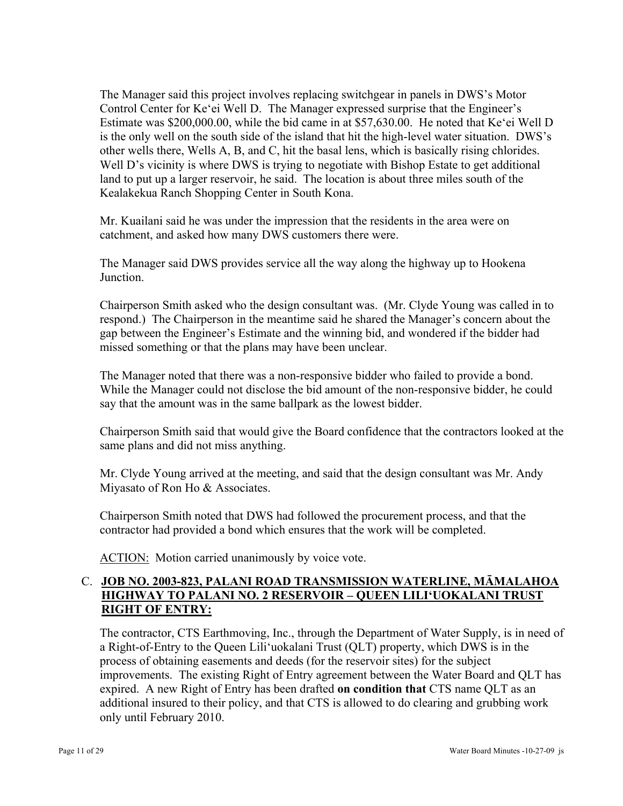The Manager said this project involves replacing switchgear in panels in DWS's Motor Control Center for Ke'ei Well D. The Manager expressed surprise that the Engineer's Estimate was \$200,000.00, while the bid came in at \$57,630.00. He noted that Ke'ei Well D is the only well on the south side of the island that hit the high-level water situation. DWS's other wells there, Wells A, B, and C, hit the basal lens, which is basically rising chlorides. Well D's vicinity is where DWS is trying to negotiate with Bishop Estate to get additional land to put up a larger reservoir, he said. The location is about three miles south of the Kealakekua Ranch Shopping Center in South Kona.

Mr. Kuailani said he was under the impression that the residents in the area were on catchment, and asked how many DWS customers there were.

The Manager said DWS provides service all the way along the highway up to Hookena **Junction** 

Chairperson Smith asked who the design consultant was. (Mr. Clyde Young was called in to respond.) The Chairperson in the meantime said he shared the Manager's concern about the gap between the Engineer's Estimate and the winning bid, and wondered if the bidder had missed something or that the plans may have been unclear.

The Manager noted that there was a non-responsive bidder who failed to provide a bond. While the Manager could not disclose the bid amount of the non-responsive bidder, he could say that the amount was in the same ballpark as the lowest bidder.

Chairperson Smith said that would give the Board confidence that the contractors looked at the same plans and did not miss anything.

Mr. Clyde Young arrived at the meeting, and said that the design consultant was Mr. Andy Miyasato of Ron Ho & Associates.

Chairperson Smith noted that DWS had followed the procurement process, and that the contractor had provided a bond which ensures that the work will be completed.

ACTION: Motion carried unanimously by voice vote.

# C. **JOB NO. 2003-823, PALANI ROAD TRANSMISSION WATERLINE, MĀMALAHOA HIGHWAY TO PALANI NO. 2 RESERVOIR – QUEEN LILI'UOKALANI TRUST RIGHT OF ENTRY:**

The contractor, CTS Earthmoving, Inc., through the Department of Water Supply, is in need of a Right-of-Entry to the Queen Lili'uokalani Trust (QLT) property, which DWS is in the process of obtaining easements and deeds (for the reservoir sites) for the subject improvements. The existing Right of Entry agreement between the Water Board and QLT has expired. A new Right of Entry has been drafted **on condition that** CTS name QLT as an additional insured to their policy, and that CTS is allowed to do clearing and grubbing work only until February 2010.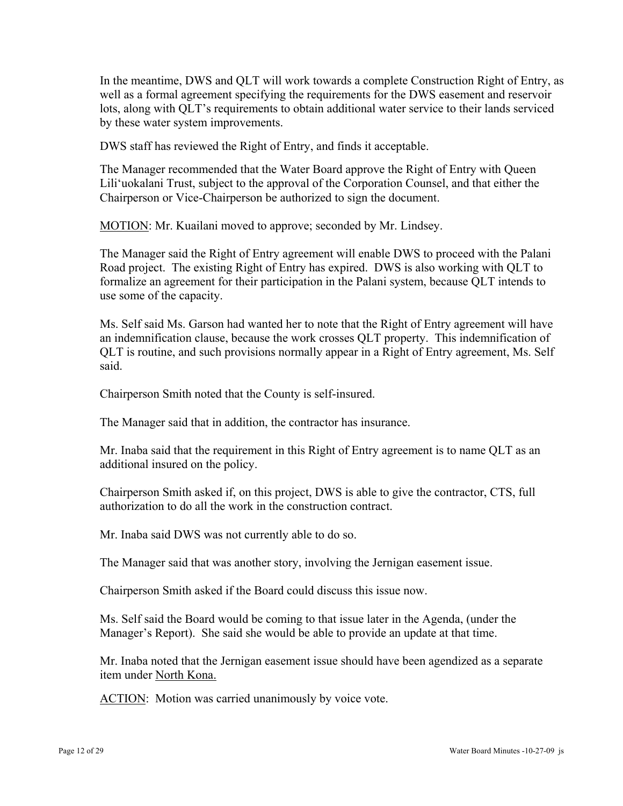In the meantime, DWS and QLT will work towards a complete Construction Right of Entry, as well as a formal agreement specifying the requirements for the DWS easement and reservoir lots, along with QLT's requirements to obtain additional water service to their lands serviced by these water system improvements.

DWS staff has reviewed the Right of Entry, and finds it acceptable.

The Manager recommended that the Water Board approve the Right of Entry with Queen Lili'uokalani Trust, subject to the approval of the Corporation Counsel, and that either the Chairperson or Vice-Chairperson be authorized to sign the document.

MOTION: Mr. Kuailani moved to approve; seconded by Mr. Lindsey.

The Manager said the Right of Entry agreement will enable DWS to proceed with the Palani Road project. The existing Right of Entry has expired. DWS is also working with QLT to formalize an agreement for their participation in the Palani system, because QLT intends to use some of the capacity.

Ms. Self said Ms. Garson had wanted her to note that the Right of Entry agreement will have an indemnification clause, because the work crosses QLT property. This indemnification of QLT is routine, and such provisions normally appear in a Right of Entry agreement, Ms. Self said.

Chairperson Smith noted that the County is self-insured.

The Manager said that in addition, the contractor has insurance.

Mr. Inaba said that the requirement in this Right of Entry agreement is to name QLT as an additional insured on the policy.

Chairperson Smith asked if, on this project, DWS is able to give the contractor, CTS, full authorization to do all the work in the construction contract.

Mr. Inaba said DWS was not currently able to do so.

The Manager said that was another story, involving the Jernigan easement issue.

Chairperson Smith asked if the Board could discuss this issue now.

Ms. Self said the Board would be coming to that issue later in the Agenda, (under the Manager's Report). She said she would be able to provide an update at that time.

Mr. Inaba noted that the Jernigan easement issue should have been agendized as a separate item under North Kona.

ACTION: Motion was carried unanimously by voice vote.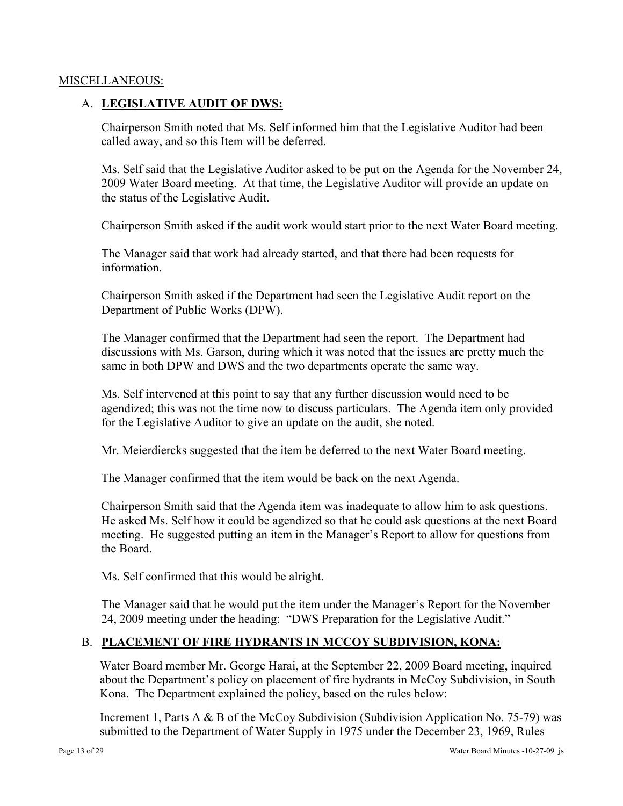#### MISCELLANEOUS:

### A. **LEGISLATIVE AUDIT OF DWS:**

Chairperson Smith noted that Ms. Self informed him that the Legislative Auditor had been called away, and so this Item will be deferred.

Ms. Self said that the Legislative Auditor asked to be put on the Agenda for the November 24, 2009 Water Board meeting. At that time, the Legislative Auditor will provide an update on the status of the Legislative Audit.

Chairperson Smith asked if the audit work would start prior to the next Water Board meeting.

The Manager said that work had already started, and that there had been requests for information.

Chairperson Smith asked if the Department had seen the Legislative Audit report on the Department of Public Works (DPW).

The Manager confirmed that the Department had seen the report. The Department had discussions with Ms. Garson, during which it was noted that the issues are pretty much the same in both DPW and DWS and the two departments operate the same way.

Ms. Self intervened at this point to say that any further discussion would need to be agendized; this was not the time now to discuss particulars. The Agenda item only provided for the Legislative Auditor to give an update on the audit, she noted.

Mr. Meierdiercks suggested that the item be deferred to the next Water Board meeting.

The Manager confirmed that the item would be back on the next Agenda.

Chairperson Smith said that the Agenda item was inadequate to allow him to ask questions. He asked Ms. Self how it could be agendized so that he could ask questions at the next Board meeting. He suggested putting an item in the Manager's Report to allow for questions from the Board.

Ms. Self confirmed that this would be alright.

The Manager said that he would put the item under the Manager's Report for the November 24, 2009 meeting under the heading: "DWS Preparation for the Legislative Audit."

# B. **PLACEMENT OF FIRE HYDRANTS IN MCCOY SUBDIVISION, KONA:**

Water Board member Mr. George Harai, at the September 22, 2009 Board meeting, inquired about the Department's policy on placement of fire hydrants in McCoy Subdivision, in South Kona. The Department explained the policy, based on the rules below:

Increment 1, Parts A & B of the McCoy Subdivision (Subdivision Application No. 75-79) was submitted to the Department of Water Supply in 1975 under the December 23, 1969, Rules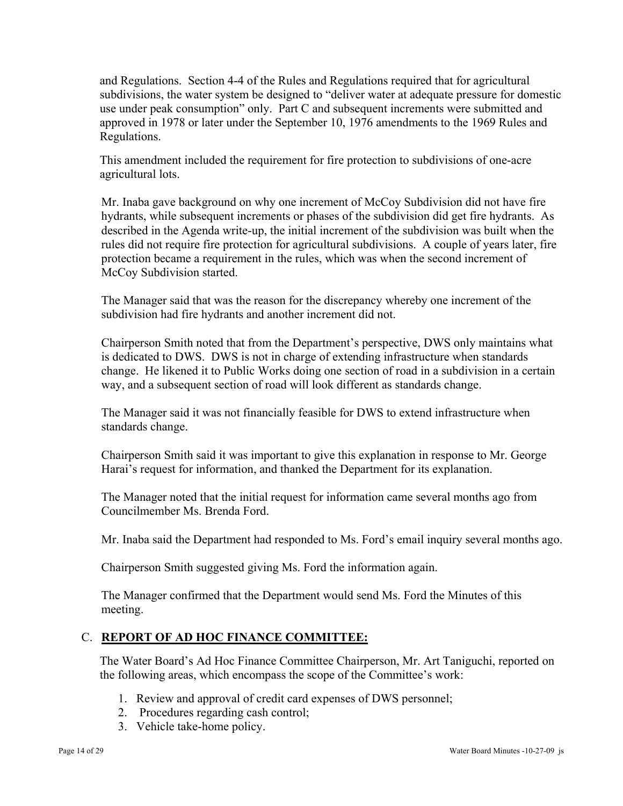and Regulations. Section 4-4 of the Rules and Regulations required that for agricultural subdivisions, the water system be designed to "deliver water at adequate pressure for domestic use under peak consumption" only. Part C and subsequent increments were submitted and approved in 1978 or later under the September 10, 1976 amendments to the 1969 Rules and Regulations.

This amendment included the requirement for fire protection to subdivisions of one-acre agricultural lots.

Mr. Inaba gave background on why one increment of McCoy Subdivision did not have fire hydrants, while subsequent increments or phases of the subdivision did get fire hydrants. As described in the Agenda write-up, the initial increment of the subdivision was built when the rules did not require fire protection for agricultural subdivisions. A couple of years later, fire protection became a requirement in the rules, which was when the second increment of McCoy Subdivision started.

The Manager said that was the reason for the discrepancy whereby one increment of the subdivision had fire hydrants and another increment did not.

Chairperson Smith noted that from the Department's perspective, DWS only maintains what is dedicated to DWS. DWS is not in charge of extending infrastructure when standards change. He likened it to Public Works doing one section of road in a subdivision in a certain way, and a subsequent section of road will look different as standards change.

The Manager said it was not financially feasible for DWS to extend infrastructure when standards change.

Chairperson Smith said it was important to give this explanation in response to Mr. George Harai's request for information, and thanked the Department for its explanation.

The Manager noted that the initial request for information came several months ago from Councilmember Ms. Brenda Ford.

Mr. Inaba said the Department had responded to Ms. Ford's email inquiry several months ago.

Chairperson Smith suggested giving Ms. Ford the information again.

The Manager confirmed that the Department would send Ms. Ford the Minutes of this meeting.

# C. **REPORT OF AD HOC FINANCE COMMITTEE:**

The Water Board's Ad Hoc Finance Committee Chairperson, Mr. Art Taniguchi, reported on the following areas, which encompass the scope of the Committee's work:

- 1. Review and approval of credit card expenses of DWS personnel;
- 2. Procedures regarding cash control;
- 3. Vehicle take-home policy.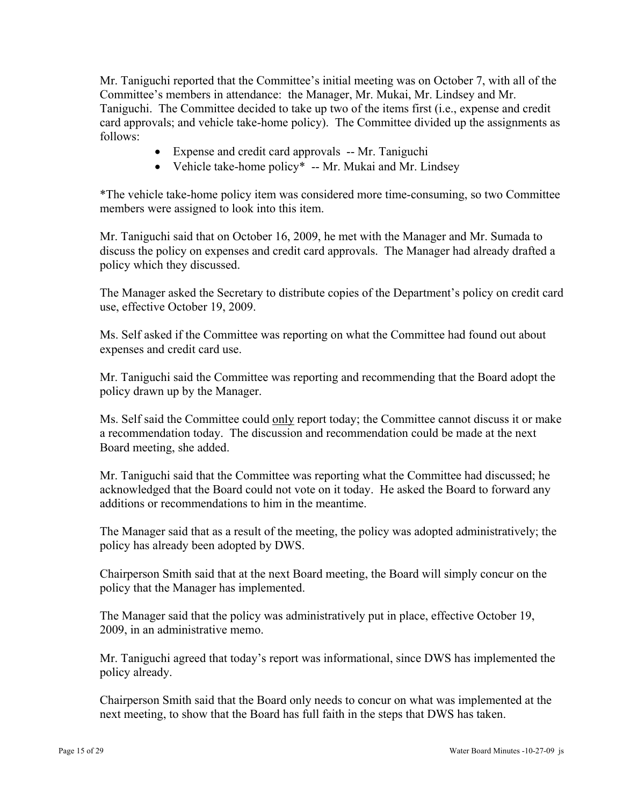Mr. Taniguchi reported that the Committee's initial meeting was on October 7, with all of the Committee's members in attendance: the Manager, Mr. Mukai, Mr. Lindsey and Mr. Taniguchi. The Committee decided to take up two of the items first (i.e., expense and credit card approvals; and vehicle take-home policy). The Committee divided up the assignments as follows:

- Expense and credit card approvals -- Mr. Taniguchi
- Vehicle take-home policy<sup>\*</sup> -- Mr. Mukai and Mr. Lindsey

\*The vehicle take-home policy item was considered more time-consuming, so two Committee members were assigned to look into this item.

Mr. Taniguchi said that on October 16, 2009, he met with the Manager and Mr. Sumada to discuss the policy on expenses and credit card approvals. The Manager had already drafted a policy which they discussed.

The Manager asked the Secretary to distribute copies of the Department's policy on credit card use, effective October 19, 2009.

Ms. Self asked if the Committee was reporting on what the Committee had found out about expenses and credit card use.

Mr. Taniguchi said the Committee was reporting and recommending that the Board adopt the policy drawn up by the Manager.

Ms. Self said the Committee could only report today; the Committee cannot discuss it or make a recommendation today. The discussion and recommendation could be made at the next Board meeting, she added.

Mr. Taniguchi said that the Committee was reporting what the Committee had discussed; he acknowledged that the Board could not vote on it today. He asked the Board to forward any additions or recommendations to him in the meantime.

The Manager said that as a result of the meeting, the policy was adopted administratively; the policy has already been adopted by DWS.

Chairperson Smith said that at the next Board meeting, the Board will simply concur on the policy that the Manager has implemented.

The Manager said that the policy was administratively put in place, effective October 19, 2009, in an administrative memo.

Mr. Taniguchi agreed that today's report was informational, since DWS has implemented the policy already.

Chairperson Smith said that the Board only needs to concur on what was implemented at the next meeting, to show that the Board has full faith in the steps that DWS has taken.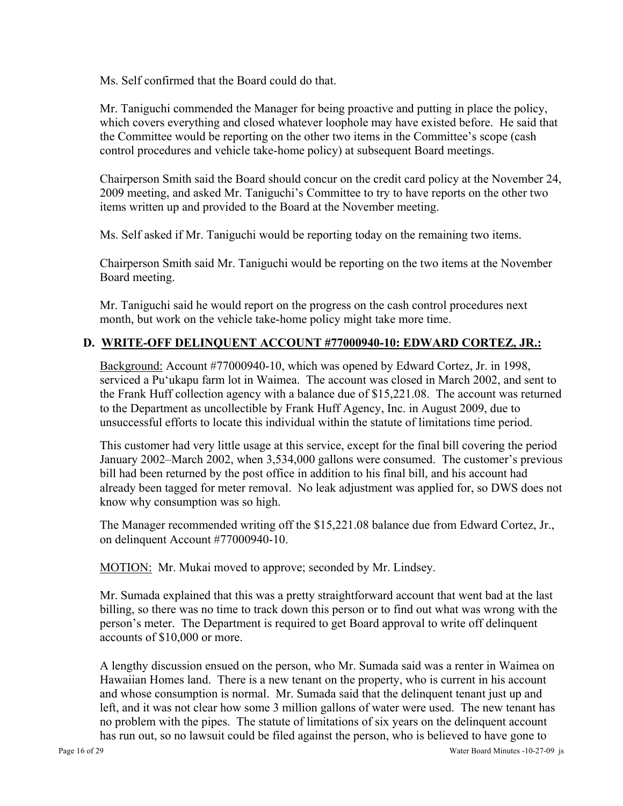Ms. Self confirmed that the Board could do that.

Mr. Taniguchi commended the Manager for being proactive and putting in place the policy, which covers everything and closed whatever loophole may have existed before. He said that the Committee would be reporting on the other two items in the Committee's scope (cash control procedures and vehicle take-home policy) at subsequent Board meetings.

Chairperson Smith said the Board should concur on the credit card policy at the November 24, 2009 meeting, and asked Mr. Taniguchi's Committee to try to have reports on the other two items written up and provided to the Board at the November meeting.

Ms. Self asked if Mr. Taniguchi would be reporting today on the remaining two items.

Chairperson Smith said Mr. Taniguchi would be reporting on the two items at the November Board meeting.

Mr. Taniguchi said he would report on the progress on the cash control procedures next month, but work on the vehicle take-home policy might take more time.

# **D. WRITE-OFF DELINQUENT ACCOUNT #77000940-10: EDWARD CORTEZ, JR.:**

Background: Account #77000940-10, which was opened by Edward Cortez, Jr. in 1998, serviced a Pu'ukapu farm lot in Waimea. The account was closed in March 2002, and sent to the Frank Huff collection agency with a balance due of \$15,221.08. The account was returned to the Department as uncollectible by Frank Huff Agency, Inc. in August 2009, due to unsuccessful efforts to locate this individual within the statute of limitations time period.

This customer had very little usage at this service, except for the final bill covering the period January 2002–March 2002, when 3,534,000 gallons were consumed. The customer's previous bill had been returned by the post office in addition to his final bill, and his account had already been tagged for meter removal. No leak adjustment was applied for, so DWS does not know why consumption was so high.

The Manager recommended writing off the \$15,221.08 balance due from Edward Cortez, Jr., on delinquent Account #77000940-10.

MOTION: Mr. Mukai moved to approve; seconded by Mr. Lindsey.

Mr. Sumada explained that this was a pretty straightforward account that went bad at the last billing, so there was no time to track down this person or to find out what was wrong with the person's meter. The Department is required to get Board approval to write off delinquent accounts of \$10,000 or more.

A lengthy discussion ensued on the person, who Mr. Sumada said was a renter in Waimea on Hawaiian Homes land. There is a new tenant on the property, who is current in his account and whose consumption is normal. Mr. Sumada said that the delinquent tenant just up and left, and it was not clear how some 3 million gallons of water were used. The new tenant has no problem with the pipes. The statute of limitations of six years on the delinquent account has run out, so no lawsuit could be filed against the person, who is believed to have gone to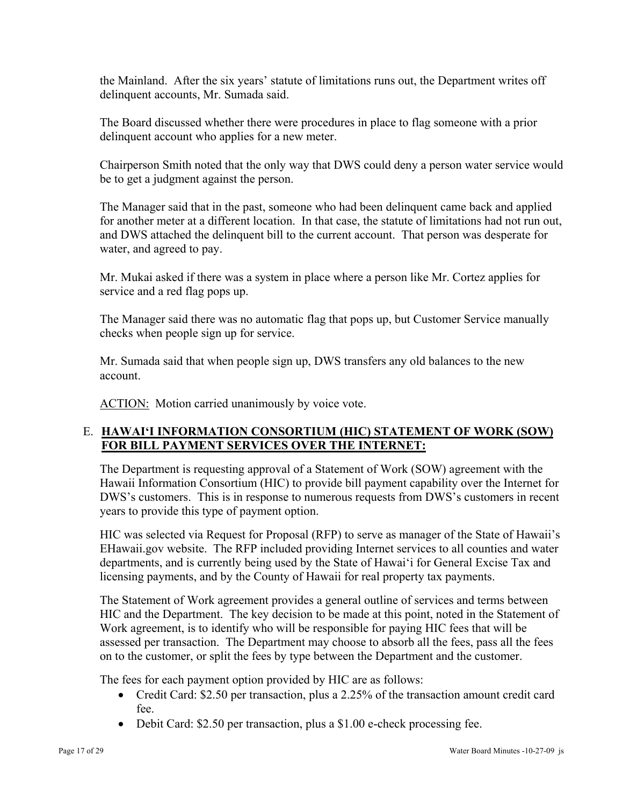the Mainland. After the six years' statute of limitations runs out, the Department writes off delinquent accounts, Mr. Sumada said.

The Board discussed whether there were procedures in place to flag someone with a prior delinquent account who applies for a new meter.

Chairperson Smith noted that the only way that DWS could deny a person water service would be to get a judgment against the person.

The Manager said that in the past, someone who had been delinquent came back and applied for another meter at a different location. In that case, the statute of limitations had not run out, and DWS attached the delinquent bill to the current account. That person was desperate for water, and agreed to pay.

Mr. Mukai asked if there was a system in place where a person like Mr. Cortez applies for service and a red flag pops up.

The Manager said there was no automatic flag that pops up, but Customer Service manually checks when people sign up for service.

Mr. Sumada said that when people sign up, DWS transfers any old balances to the new account.

ACTION: Motion carried unanimously by voice vote.

# E. **HAWAI'I INFORMATION CONSORTIUM (HIC) STATEMENT OF WORK (SOW) FOR BILL PAYMENT SERVICES OVER THE INTERNET:**

The Department is requesting approval of a Statement of Work (SOW) agreement with the Hawaii Information Consortium (HIC) to provide bill payment capability over the Internet for DWS's customers. This is in response to numerous requests from DWS's customers in recent years to provide this type of payment option.

HIC was selected via Request for Proposal (RFP) to serve as manager of the State of Hawaii's EHawaii.gov website. The RFP included providing Internet services to all counties and water departments, and is currently being used by the State of Hawai'i for General Excise Tax and licensing payments, and by the County of Hawaii for real property tax payments.

The Statement of Work agreement provides a general outline of services and terms between HIC and the Department. The key decision to be made at this point, noted in the Statement of Work agreement, is to identify who will be responsible for paying HIC fees that will be assessed per transaction. The Department may choose to absorb all the fees, pass all the fees on to the customer, or split the fees by type between the Department and the customer.

The fees for each payment option provided by HIC are as follows:

- Credit Card: \$2.50 per transaction, plus a 2.25% of the transaction amount credit card fee.
- Debit Card: \$2.50 per transaction, plus a \$1.00 e-check processing fee.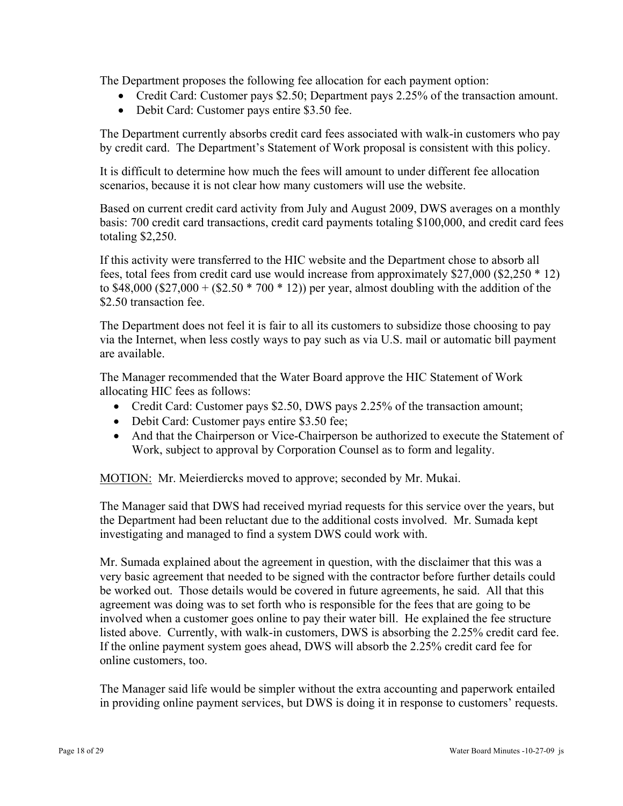The Department proposes the following fee allocation for each payment option:

- Credit Card: Customer pays \$2.50; Department pays 2.25% of the transaction amount.
- Debit Card: Customer pays entire \$3.50 fee.

The Department currently absorbs credit card fees associated with walk-in customers who pay by credit card. The Department's Statement of Work proposal is consistent with this policy.

It is difficult to determine how much the fees will amount to under different fee allocation scenarios, because it is not clear how many customers will use the website.

Based on current credit card activity from July and August 2009, DWS averages on a monthly basis: 700 credit card transactions, credit card payments totaling \$100,000, and credit card fees totaling \$2,250.

If this activity were transferred to the HIC website and the Department chose to absorb all fees, total fees from credit card use would increase from approximately \$27,000 (\$2,250 \* 12) to \$48,000 (\$27,000 + (\$2.50  $*$  700  $*$  12)) per year, almost doubling with the addition of the \$2.50 transaction fee.

The Department does not feel it is fair to all its customers to subsidize those choosing to pay via the Internet, when less costly ways to pay such as via U.S. mail or automatic bill payment are available.

The Manager recommended that the Water Board approve the HIC Statement of Work allocating HIC fees as follows:

- Credit Card: Customer pays \$2.50, DWS pays 2.25% of the transaction amount;
- Debit Card: Customer pays entire \$3.50 fee;
- And that the Chairperson or Vice-Chairperson be authorized to execute the Statement of Work, subject to approval by Corporation Counsel as to form and legality.

MOTION: Mr. Meierdiercks moved to approve; seconded by Mr. Mukai.

The Manager said that DWS had received myriad requests for this service over the years, but the Department had been reluctant due to the additional costs involved. Mr. Sumada kept investigating and managed to find a system DWS could work with.

Mr. Sumada explained about the agreement in question, with the disclaimer that this was a very basic agreement that needed to be signed with the contractor before further details could be worked out. Those details would be covered in future agreements, he said. All that this agreement was doing was to set forth who is responsible for the fees that are going to be involved when a customer goes online to pay their water bill. He explained the fee structure listed above. Currently, with walk-in customers, DWS is absorbing the 2.25% credit card fee. If the online payment system goes ahead, DWS will absorb the 2.25% credit card fee for online customers, too.

The Manager said life would be simpler without the extra accounting and paperwork entailed in providing online payment services, but DWS is doing it in response to customers' requests.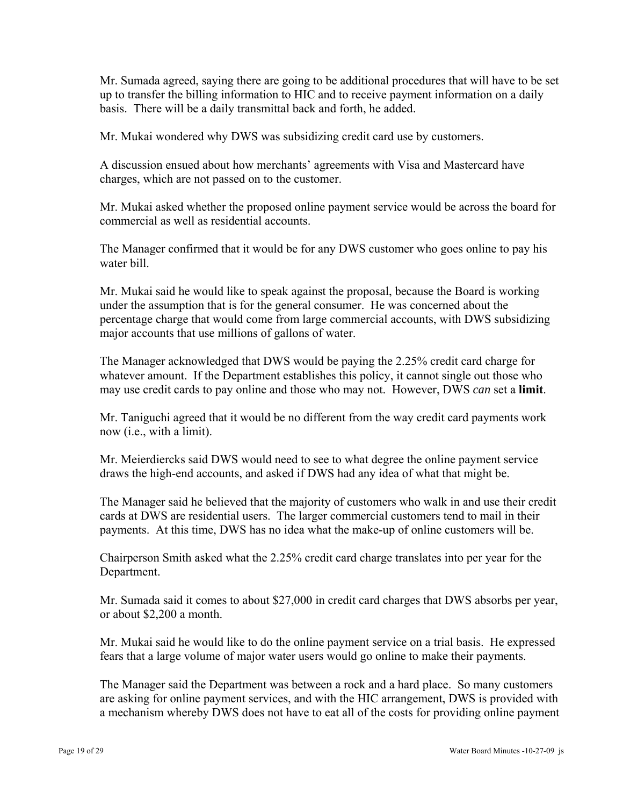Mr. Sumada agreed, saying there are going to be additional procedures that will have to be set up to transfer the billing information to HIC and to receive payment information on a daily basis. There will be a daily transmittal back and forth, he added.

Mr. Mukai wondered why DWS was subsidizing credit card use by customers.

A discussion ensued about how merchants' agreements with Visa and Mastercard have charges, which are not passed on to the customer.

Mr. Mukai asked whether the proposed online payment service would be across the board for commercial as well as residential accounts.

The Manager confirmed that it would be for any DWS customer who goes online to pay his water bill.

Mr. Mukai said he would like to speak against the proposal, because the Board is working under the assumption that is for the general consumer. He was concerned about the percentage charge that would come from large commercial accounts, with DWS subsidizing major accounts that use millions of gallons of water.

The Manager acknowledged that DWS would be paying the 2.25% credit card charge for whatever amount. If the Department establishes this policy, it cannot single out those who may use credit cards to pay online and those who may not. However, DWS *can* set a **limit**.

Mr. Taniguchi agreed that it would be no different from the way credit card payments work now (i.e., with a limit).

Mr. Meierdiercks said DWS would need to see to what degree the online payment service draws the high-end accounts, and asked if DWS had any idea of what that might be.

The Manager said he believed that the majority of customers who walk in and use their credit cards at DWS are residential users. The larger commercial customers tend to mail in their payments. At this time, DWS has no idea what the make-up of online customers will be.

Chairperson Smith asked what the 2.25% credit card charge translates into per year for the Department.

Mr. Sumada said it comes to about \$27,000 in credit card charges that DWS absorbs per year, or about \$2,200 a month.

Mr. Mukai said he would like to do the online payment service on a trial basis. He expressed fears that a large volume of major water users would go online to make their payments.

The Manager said the Department was between a rock and a hard place. So many customers are asking for online payment services, and with the HIC arrangement, DWS is provided with a mechanism whereby DWS does not have to eat all of the costs for providing online payment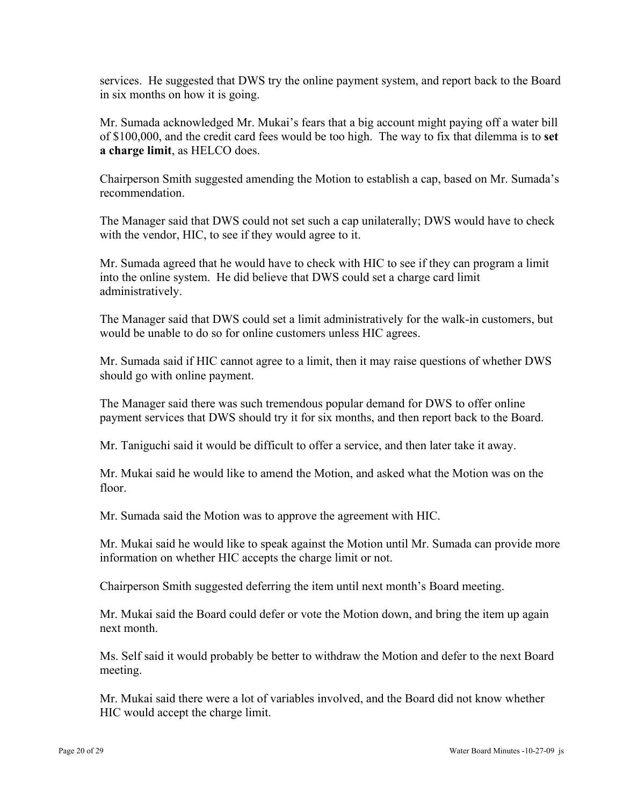services. He suggested that DWS try the online payment system, and report back to the Board in six months on how it is going.

Mr. Sumada acknowledged Mr. Mukai's fears that a big account might paying off a water bill of \$100,000, and the credit card fees would be too high. The way to fix that dilemma is to **set a charge limit**, as HELCO does.

Chairperson Smith suggested amending the Motion to establish a cap, based on Mr. Sumada's recommendation.

The Manager said that DWS could not set such a cap unilaterally; DWS would have to check with the vendor, HIC, to see if they would agree to it.

Mr. Sumada agreed that he would have to check with HIC to see if they can program a limit into the online system. He did believe that DWS could set a charge card limit administratively.

The Manager said that DWS could set a limit administratively for the walk-in customers, but would be unable to do so for online customers unless HIC agrees.

Mr. Sumada said if HIC cannot agree to a limit, then it may raise questions of whether DWS should go with online payment.

The Manager said there was such tremendous popular demand for DWS to offer online payment services that DWS should try it for six months, and then report back to the Board.

Mr. Taniguchi said it would be difficult to offer a service, and then later take it away.

Mr. Mukai said he would like to amend the Motion, and asked what the Motion was on the floor.

Mr. Sumada said the Motion was to approve the agreement with HIC.

Mr. Mukai said he would like to speak against the Motion until Mr. Sumada can provide more information on whether HIC accepts the charge limit or not.

Chairperson Smith suggested deferring the item until next month's Board meeting.

Mr. Mukai said the Board could defer or vote the Motion down, and bring the item up again next month.

Ms. Self said it would probably be better to withdraw the Motion and defer to the next Board meeting.

Mr. Mukai said there were a lot of variables involved, and the Board did not know whether HIC would accept the charge limit.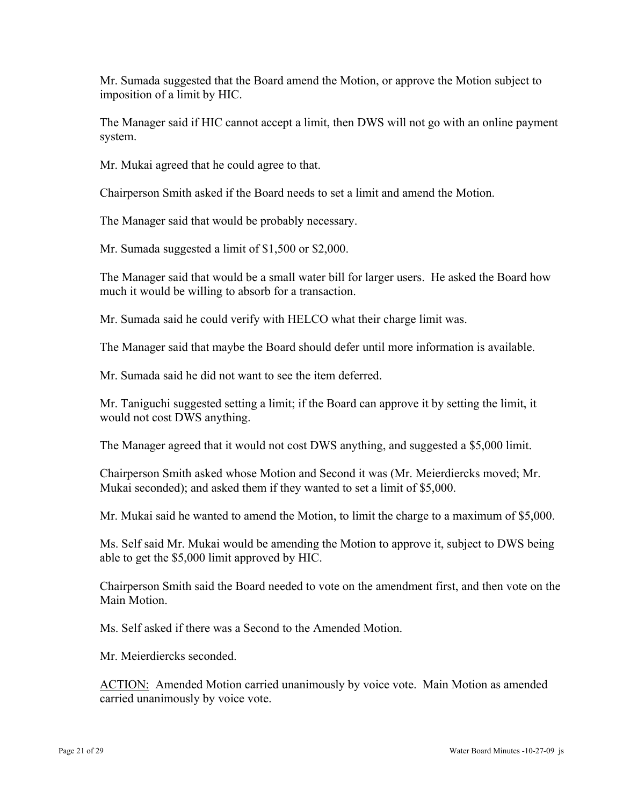Mr. Sumada suggested that the Board amend the Motion, or approve the Motion subject to imposition of a limit by HIC.

The Manager said if HIC cannot accept a limit, then DWS will not go with an online payment system.

Mr. Mukai agreed that he could agree to that.

Chairperson Smith asked if the Board needs to set a limit and amend the Motion.

The Manager said that would be probably necessary.

Mr. Sumada suggested a limit of \$1,500 or \$2,000.

The Manager said that would be a small water bill for larger users. He asked the Board how much it would be willing to absorb for a transaction.

Mr. Sumada said he could verify with HELCO what their charge limit was.

The Manager said that maybe the Board should defer until more information is available.

Mr. Sumada said he did not want to see the item deferred.

Mr. Taniguchi suggested setting a limit; if the Board can approve it by setting the limit, it would not cost DWS anything.

The Manager agreed that it would not cost DWS anything, and suggested a \$5,000 limit.

Chairperson Smith asked whose Motion and Second it was (Mr. Meierdiercks moved; Mr. Mukai seconded); and asked them if they wanted to set a limit of \$5,000.

Mr. Mukai said he wanted to amend the Motion, to limit the charge to a maximum of \$5,000.

Ms. Self said Mr. Mukai would be amending the Motion to approve it, subject to DWS being able to get the \$5,000 limit approved by HIC.

Chairperson Smith said the Board needed to vote on the amendment first, and then vote on the Main Motion.

Ms. Self asked if there was a Second to the Amended Motion.

Mr. Meierdiercks seconded.

ACTION: Amended Motion carried unanimously by voice vote. Main Motion as amended carried unanimously by voice vote.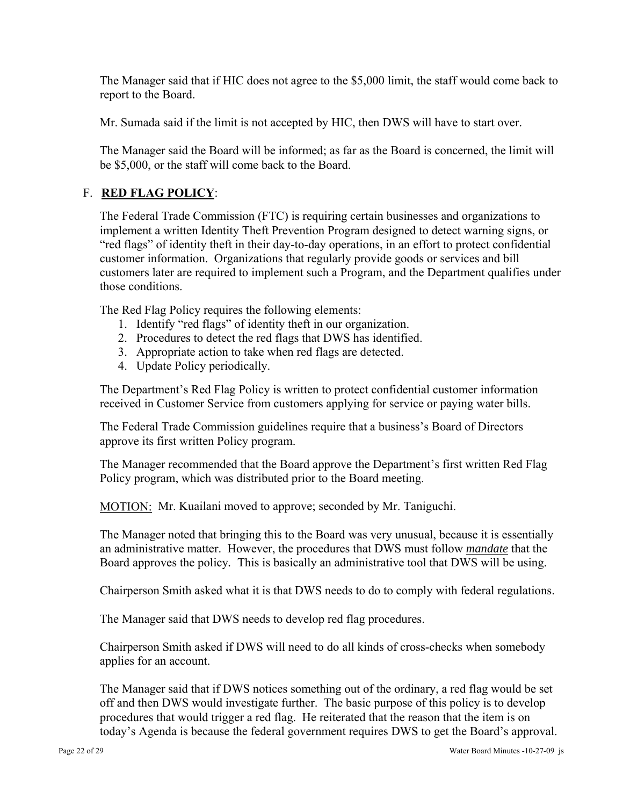The Manager said that if HIC does not agree to the \$5,000 limit, the staff would come back to report to the Board.

Mr. Sumada said if the limit is not accepted by HIC, then DWS will have to start over.

The Manager said the Board will be informed; as far as the Board is concerned, the limit will be \$5,000, or the staff will come back to the Board.

# F. **RED FLAG POLICY**:

The Federal Trade Commission (FTC) is requiring certain businesses and organizations to implement a written Identity Theft Prevention Program designed to detect warning signs, or "red flags" of identity theft in their day-to-day operations, in an effort to protect confidential customer information. Organizations that regularly provide goods or services and bill customers later are required to implement such a Program, and the Department qualifies under those conditions.

The Red Flag Policy requires the following elements:

- 1. Identify "red flags" of identity theft in our organization.
- 2. Procedures to detect the red flags that DWS has identified.
- 3. Appropriate action to take when red flags are detected.
- 4. Update Policy periodically.

The Department's Red Flag Policy is written to protect confidential customer information received in Customer Service from customers applying for service or paying water bills.

The Federal Trade Commission guidelines require that a business's Board of Directors approve its first written Policy program.

The Manager recommended that the Board approve the Department's first written Red Flag Policy program, which was distributed prior to the Board meeting.

MOTION: Mr. Kuailani moved to approve; seconded by Mr. Taniguchi.

The Manager noted that bringing this to the Board was very unusual, because it is essentially an administrative matter. However, the procedures that DWS must follow *mandate* that the Board approves the policy*.* This is basically an administrative tool that DWS will be using.

Chairperson Smith asked what it is that DWS needs to do to comply with federal regulations.

The Manager said that DWS needs to develop red flag procedures.

Chairperson Smith asked if DWS will need to do all kinds of cross-checks when somebody applies for an account.

The Manager said that if DWS notices something out of the ordinary, a red flag would be set off and then DWS would investigate further. The basic purpose of this policy is to develop procedures that would trigger a red flag. He reiterated that the reason that the item is on today's Agenda is because the federal government requires DWS to get the Board's approval.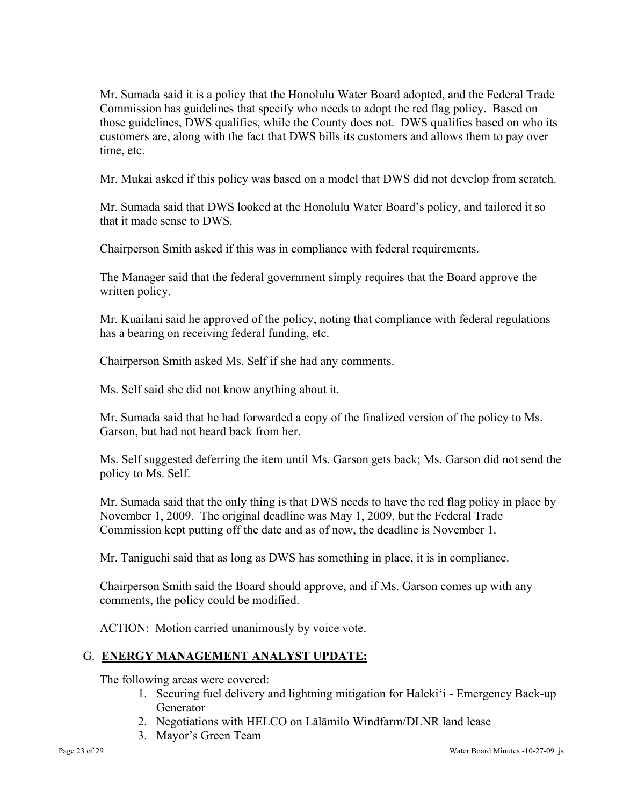Mr. Sumada said it is a policy that the Honolulu Water Board adopted, and the Federal Trade Commission has guidelines that specify who needs to adopt the red flag policy. Based on those guidelines, DWS qualifies, while the County does not. DWS qualifies based on who its customers are, along with the fact that DWS bills its customers and allows them to pay over time, etc.

Mr. Mukai asked if this policy was based on a model that DWS did not develop from scratch.

Mr. Sumada said that DWS looked at the Honolulu Water Board's policy, and tailored it so that it made sense to DWS.

Chairperson Smith asked if this was in compliance with federal requirements.

The Manager said that the federal government simply requires that the Board approve the written policy.

Mr. Kuailani said he approved of the policy, noting that compliance with federal regulations has a bearing on receiving federal funding, etc.

Chairperson Smith asked Ms. Self if she had any comments.

Ms. Self said she did not know anything about it.

Mr. Sumada said that he had forwarded a copy of the finalized version of the policy to Ms. Garson, but had not heard back from her.

Ms. Self suggested deferring the item until Ms. Garson gets back; Ms. Garson did not send the policy to Ms. Self.

Mr. Sumada said that the only thing is that DWS needs to have the red flag policy in place by November 1, 2009. The original deadline was May 1, 2009, but the Federal Trade Commission kept putting off the date and as of now, the deadline is November 1.

Mr. Taniguchi said that as long as DWS has something in place, it is in compliance.

Chairperson Smith said the Board should approve, and if Ms. Garson comes up with any comments, the policy could be modified.

ACTION: Motion carried unanimously by voice vote.

# G. **ENERGY MANAGEMENT ANALYST UPDATE:**

The following areas were covered:

- 1. Securing fuel delivery and lightning mitigation for Haleki'i Emergency Back-up Generator
- 2. Negotiations with HELCO on Lālāmilo Windfarm/DLNR land lease
- 3. Mayor's Green Team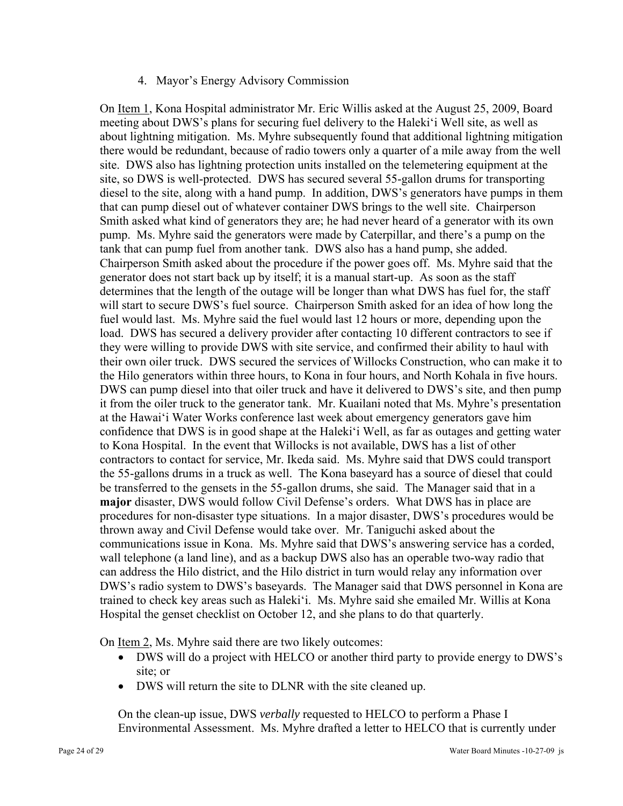### 4. Mayor's Energy Advisory Commission

On Item 1, Kona Hospital administrator Mr. Eric Willis asked at the August 25, 2009, Board meeting about DWS's plans for securing fuel delivery to the Haleki'i Well site, as well as about lightning mitigation. Ms. Myhre subsequently found that additional lightning mitigation there would be redundant, because of radio towers only a quarter of a mile away from the well site. DWS also has lightning protection units installed on the telemetering equipment at the site, so DWS is well-protected. DWS has secured several 55-gallon drums for transporting diesel to the site, along with a hand pump. In addition, DWS's generators have pumps in them that can pump diesel out of whatever container DWS brings to the well site. Chairperson Smith asked what kind of generators they are; he had never heard of a generator with its own pump. Ms. Myhre said the generators were made by Caterpillar, and there's a pump on the tank that can pump fuel from another tank. DWS also has a hand pump, she added. Chairperson Smith asked about the procedure if the power goes off. Ms. Myhre said that the generator does not start back up by itself; it is a manual start-up. As soon as the staff determines that the length of the outage will be longer than what DWS has fuel for, the staff will start to secure DWS's fuel source. Chairperson Smith asked for an idea of how long the fuel would last. Ms. Myhre said the fuel would last 12 hours or more, depending upon the load. DWS has secured a delivery provider after contacting 10 different contractors to see if they were willing to provide DWS with site service, and confirmed their ability to haul with their own oiler truck. DWS secured the services of Willocks Construction, who can make it to the Hilo generators within three hours, to Kona in four hours, and North Kohala in five hours. DWS can pump diesel into that oiler truck and have it delivered to DWS's site, and then pump it from the oiler truck to the generator tank. Mr. Kuailani noted that Ms. Myhre's presentation at the Hawai'i Water Works conference last week about emergency generators gave him confidence that DWS is in good shape at the Haleki'i Well, as far as outages and getting water to Kona Hospital. In the event that Willocks is not available, DWS has a list of other contractors to contact for service, Mr. Ikeda said. Ms. Myhre said that DWS could transport the 55-gallons drums in a truck as well. The Kona baseyard has a source of diesel that could be transferred to the gensets in the 55-gallon drums, she said. The Manager said that in a **major** disaster, DWS would follow Civil Defense's orders. What DWS has in place are procedures for non-disaster type situations. In a major disaster, DWS's procedures would be thrown away and Civil Defense would take over. Mr. Taniguchi asked about the communications issue in Kona. Ms. Myhre said that DWS's answering service has a corded, wall telephone (a land line), and as a backup DWS also has an operable two-way radio that can address the Hilo district, and the Hilo district in turn would relay any information over DWS's radio system to DWS's baseyards. The Manager said that DWS personnel in Kona are trained to check key areas such as Haleki'i. Ms. Myhre said she emailed Mr. Willis at Kona Hospital the genset checklist on October 12, and she plans to do that quarterly.

On <u>Item 2</u>, Ms. Myhre said there are two likely outcomes:

- DWS will do a project with HELCO or another third party to provide energy to DWS's site; or
- DWS will return the site to DLNR with the site cleaned up.

On the clean-up issue, DWS *verbally* requested to HELCO to perform a Phase I Environmental Assessment. Ms. Myhre drafted a letter to HELCO that is currently under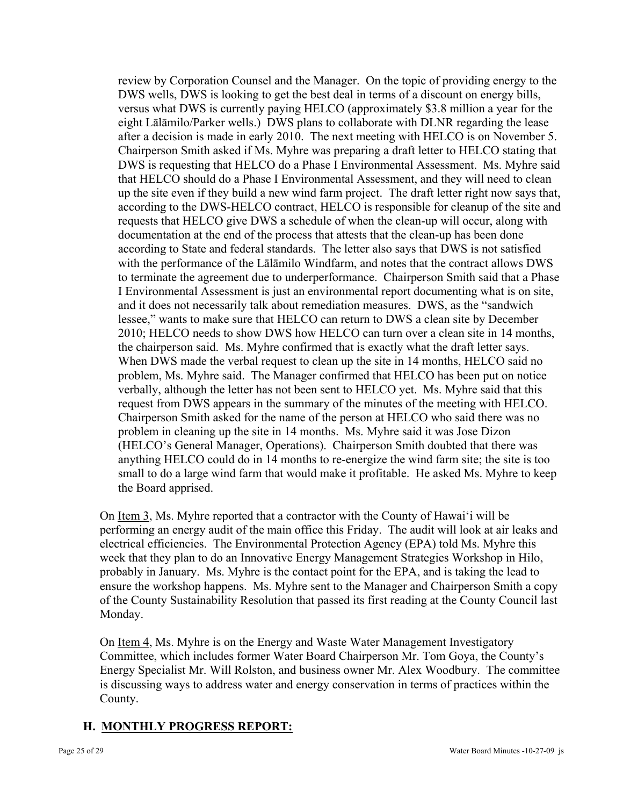review by Corporation Counsel and the Manager. On the topic of providing energy to the DWS wells, DWS is looking to get the best deal in terms of a discount on energy bills, versus what DWS is currently paying HELCO (approximately \$3.8 million a year for the eight Lālāmilo/Parker wells.) DWS plans to collaborate with DLNR regarding the lease after a decision is made in early 2010. The next meeting with HELCO is on November 5. Chairperson Smith asked if Ms. Myhre was preparing a draft letter to HELCO stating that DWS is requesting that HELCO do a Phase I Environmental Assessment. Ms. Myhre said that HELCO should do a Phase I Environmental Assessment, and they will need to clean up the site even if they build a new wind farm project. The draft letter right now says that, according to the DWS-HELCO contract, HELCO is responsible for cleanup of the site and requests that HELCO give DWS a schedule of when the clean-up will occur, along with documentation at the end of the process that attests that the clean-up has been done according to State and federal standards. The letter also says that DWS is not satisfied with the performance of the Lālāmilo Windfarm, and notes that the contract allows DWS to terminate the agreement due to underperformance. Chairperson Smith said that a Phase I Environmental Assessment is just an environmental report documenting what is on site, and it does not necessarily talk about remediation measures. DWS, as the "sandwich lessee," wants to make sure that HELCO can return to DWS a clean site by December 2010; HELCO needs to show DWS how HELCO can turn over a clean site in 14 months, the chairperson said. Ms. Myhre confirmed that is exactly what the draft letter says. When DWS made the verbal request to clean up the site in 14 months, HELCO said no problem, Ms. Myhre said. The Manager confirmed that HELCO has been put on notice verbally, although the letter has not been sent to HELCO yet. Ms. Myhre said that this request from DWS appears in the summary of the minutes of the meeting with HELCO. Chairperson Smith asked for the name of the person at HELCO who said there was no problem in cleaning up the site in 14 months. Ms. Myhre said it was Jose Dizon (HELCO's General Manager, Operations). Chairperson Smith doubted that there was anything HELCO could do in 14 months to re-energize the wind farm site; the site is too small to do a large wind farm that would make it profitable. He asked Ms. Myhre to keep the Board apprised.

On Item 3, Ms. Myhre reported that a contractor with the County of Hawai'i will be performing an energy audit of the main office this Friday. The audit will look at air leaks and electrical efficiencies. The Environmental Protection Agency (EPA) told Ms. Myhre this week that they plan to do an Innovative Energy Management Strategies Workshop in Hilo, probably in January. Ms. Myhre is the contact point for the EPA, and is taking the lead to ensure the workshop happens. Ms. Myhre sent to the Manager and Chairperson Smith a copy of the County Sustainability Resolution that passed its first reading at the County Council last Monday.

On Item 4, Ms. Myhre is on the Energy and Waste Water Management Investigatory Committee, which includes former Water Board Chairperson Mr. Tom Goya, the County's Energy Specialist Mr. Will Rolston, and business owner Mr. Alex Woodbury. The committee is discussing ways to address water and energy conservation in terms of practices within the County.

# **H. MONTHLY PROGRESS REPORT:**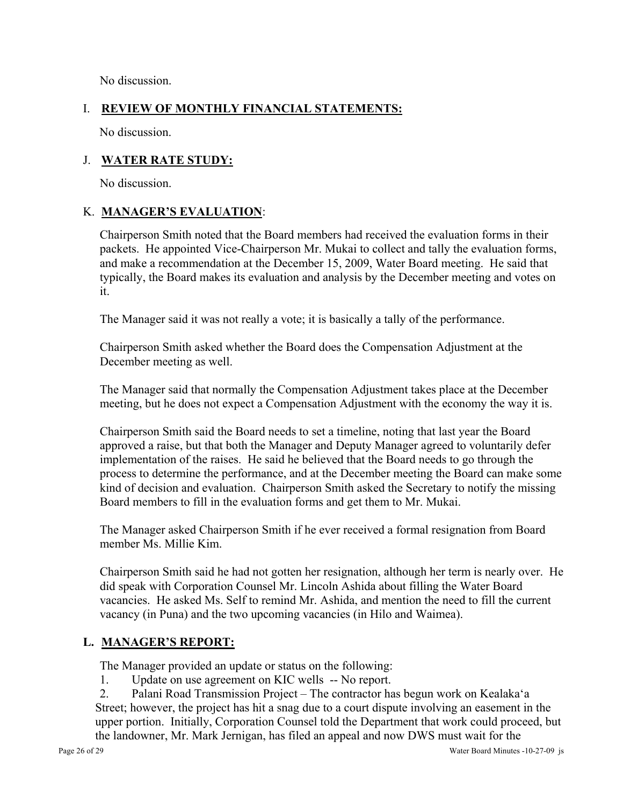No discussion.

# I. **REVIEW OF MONTHLY FINANCIAL STATEMENTS:**

No discussion.

# J. **WATER RATE STUDY:**

No discussion.

# K. **MANAGER'S EVALUATION**:

Chairperson Smith noted that the Board members had received the evaluation forms in their packets. He appointed Vice-Chairperson Mr. Mukai to collect and tally the evaluation forms, and make a recommendation at the December 15, 2009, Water Board meeting. He said that typically, the Board makes its evaluation and analysis by the December meeting and votes on it.

The Manager said it was not really a vote; it is basically a tally of the performance.

Chairperson Smith asked whether the Board does the Compensation Adjustment at the December meeting as well.

The Manager said that normally the Compensation Adjustment takes place at the December meeting, but he does not expect a Compensation Adjustment with the economy the way it is.

Chairperson Smith said the Board needs to set a timeline, noting that last year the Board approved a raise, but that both the Manager and Deputy Manager agreed to voluntarily defer implementation of the raises. He said he believed that the Board needs to go through the process to determine the performance, and at the December meeting the Board can make some kind of decision and evaluation. Chairperson Smith asked the Secretary to notify the missing Board members to fill in the evaluation forms and get them to Mr. Mukai.

The Manager asked Chairperson Smith if he ever received a formal resignation from Board member Ms. Millie Kim.

Chairperson Smith said he had not gotten her resignation, although her term is nearly over. He did speak with Corporation Counsel Mr. Lincoln Ashida about filling the Water Board vacancies. He asked Ms. Self to remind Mr. Ashida, and mention the need to fill the current vacancy (in Puna) and the two upcoming vacancies (in Hilo and Waimea).

# **L. MANAGER'S REPORT:**

The Manager provided an update or status on the following:

1. Update on use agreement on KIC wells -- No report.

2. Palani Road Transmission Project – The contractor has begun work on Kealaka'a Street; however, the project has hit a snag due to a court dispute involving an easement in the upper portion. Initially, Corporation Counsel told the Department that work could proceed, but the landowner, Mr. Mark Jernigan, has filed an appeal and now DWS must wait for the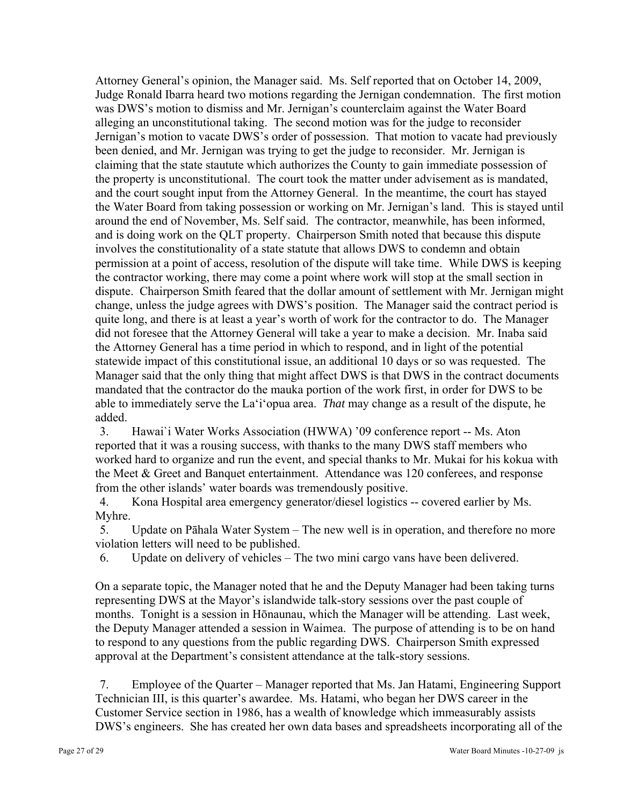Attorney General's opinion, the Manager said. Ms. Self reported that on October 14, 2009, Judge Ronald Ibarra heard two motions regarding the Jernigan condemnation. The first motion was DWS's motion to dismiss and Mr. Jernigan's counterclaim against the Water Board alleging an unconstitutional taking. The second motion was for the judge to reconsider Jernigan's motion to vacate DWS's order of possession. That motion to vacate had previously been denied, and Mr. Jernigan was trying to get the judge to reconsider. Mr. Jernigan is claiming that the state stautute which authorizes the County to gain immediate possession of the property is unconstitutional. The court took the matter under advisement as is mandated, and the court sought input from the Attorney General. In the meantime, the court has stayed the Water Board from taking possession or working on Mr. Jernigan's land. This is stayed until around the end of November, Ms. Self said. The contractor, meanwhile, has been informed, and is doing work on the QLT property. Chairperson Smith noted that because this dispute involves the constitutionality of a state statute that allows DWS to condemn and obtain permission at a point of access, resolution of the dispute will take time. While DWS is keeping the contractor working, there may come a point where work will stop at the small section in dispute. Chairperson Smith feared that the dollar amount of settlement with Mr. Jernigan might change, unless the judge agrees with DWS's position. The Manager said the contract period is quite long, and there is at least a year's worth of work for the contractor to do. The Manager did not foresee that the Attorney General will take a year to make a decision. Mr. Inaba said the Attorney General has a time period in which to respond, and in light of the potential statewide impact of this constitutional issue, an additional 10 days or so was requested. The Manager said that the only thing that might affect DWS is that DWS in the contract documents mandated that the contractor do the mauka portion of the work first, in order for DWS to be able to immediately serve the La'i'opua area. *That* may change as a result of the dispute, he added.

3. Hawai`i Water Works Association (HWWA) '09 conference report -- Ms. Aton reported that it was a rousing success, with thanks to the many DWS staff members who worked hard to organize and run the event, and special thanks to Mr. Mukai for his kokua with the Meet & Greet and Banquet entertainment. Attendance was 120 conferees, and response from the other islands' water boards was tremendously positive.

4. Kona Hospital area emergency generator/diesel logistics -- covered earlier by Ms. Myhre.

5. Update on Pāhala Water System – The new well is in operation, and therefore no more violation letters will need to be published.

6. Update on delivery of vehicles – The two mini cargo vans have been delivered.

On a separate topic, the Manager noted that he and the Deputy Manager had been taking turns representing DWS at the Mayor's islandwide talk-story sessions over the past couple of months. Tonight is a session in Hōnaunau, which the Manager will be attending. Last week, the Deputy Manager attended a session in Waimea. The purpose of attending is to be on hand to respond to any questions from the public regarding DWS. Chairperson Smith expressed approval at the Department's consistent attendance at the talk-story sessions.

7. Employee of the Quarter – Manager reported that Ms. Jan Hatami, Engineering Support Technician III, is this quarter's awardee. Ms. Hatami, who began her DWS career in the Customer Service section in 1986, has a wealth of knowledge which immeasurably assists DWS's engineers. She has created her own data bases and spreadsheets incorporating all of the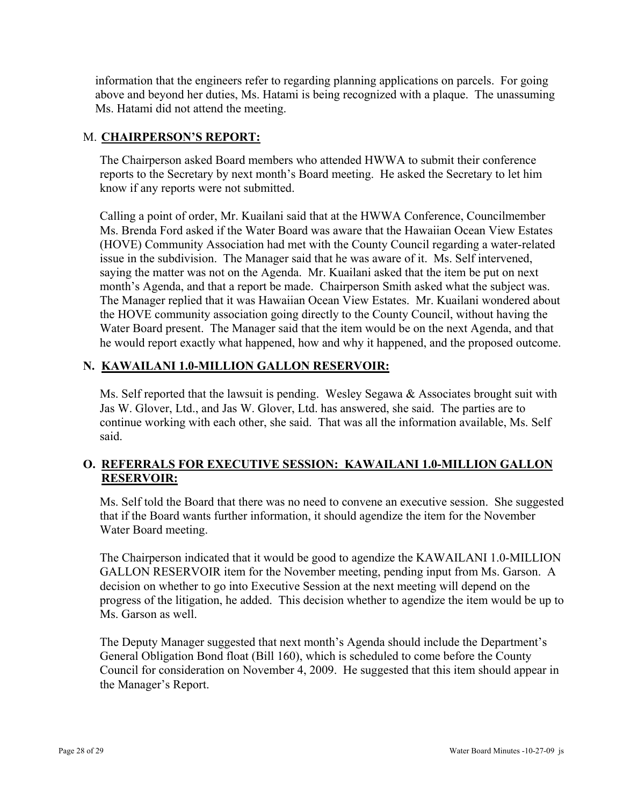information that the engineers refer to regarding planning applications on parcels. For going above and beyond her duties, Ms. Hatami is being recognized with a plaque. The unassuming Ms. Hatami did not attend the meeting.

# M. **CHAIRPERSON'S REPORT:**

The Chairperson asked Board members who attended HWWA to submit their conference reports to the Secretary by next month's Board meeting. He asked the Secretary to let him know if any reports were not submitted.

Calling a point of order, Mr. Kuailani said that at the HWWA Conference, Councilmember Ms. Brenda Ford asked if the Water Board was aware that the Hawaiian Ocean View Estates (HOVE) Community Association had met with the County Council regarding a water-related issue in the subdivision. The Manager said that he was aware of it. Ms. Self intervened, saying the matter was not on the Agenda. Mr. Kuailani asked that the item be put on next month's Agenda, and that a report be made. Chairperson Smith asked what the subject was. The Manager replied that it was Hawaiian Ocean View Estates. Mr. Kuailani wondered about the HOVE community association going directly to the County Council, without having the Water Board present. The Manager said that the item would be on the next Agenda, and that he would report exactly what happened, how and why it happened, and the proposed outcome.

# **N. KAWAILANI 1.0-MILLION GALLON RESERVOIR:**

Ms. Self reported that the lawsuit is pending. Wesley Segawa  $\&$  Associates brought suit with Jas W. Glover, Ltd., and Jas W. Glover, Ltd. has answered, she said. The parties are to continue working with each other, she said. That was all the information available, Ms. Self said.

# **O. REFERRALS FOR EXECUTIVE SESSION: KAWAILANI 1.0-MILLION GALLON RESERVOIR:**

Ms. Self told the Board that there was no need to convene an executive session. She suggested that if the Board wants further information, it should agendize the item for the November Water Board meeting.

The Chairperson indicated that it would be good to agendize the KAWAILANI 1.0-MILLION GALLON RESERVOIR item for the November meeting, pending input from Ms. Garson. A decision on whether to go into Executive Session at the next meeting will depend on the progress of the litigation, he added. This decision whether to agendize the item would be up to Ms. Garson as well.

The Deputy Manager suggested that next month's Agenda should include the Department's General Obligation Bond float (Bill 160), which is scheduled to come before the County Council for consideration on November 4, 2009. He suggested that this item should appear in the Manager's Report.